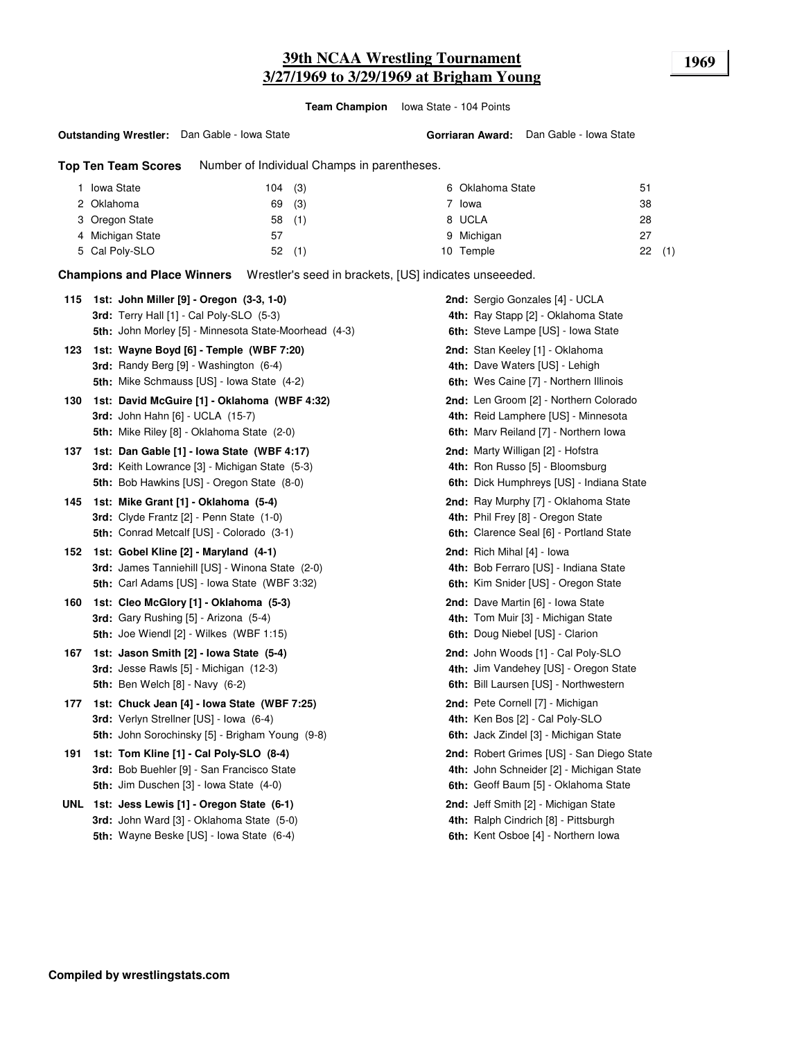**Team Champion** Iowa State - 104 Points

#### **Outstanding Wrestler:** Dan Gable - Iowa State

**Gorriaran Award:** Dan Gable - Iowa State

**Top Ten Team Scores** Number of Individual Champs in parentheses.

| <b>Iowa State</b> | (3)<br>104 | 6 Oklahoma State | 51        |
|-------------------|------------|------------------|-----------|
| 2 Oklahoma        | (3)<br>69  | 7 Iowa           | 38        |
| 3 Oregon State    | (1)<br>58  | 8 UCLA           | 28        |
| 4 Michigan State  | 57         | 9 Michigan       | 27        |
| 5 Cal Poly-SLO    | (1)<br>52  | Temple<br>10     | (1)<br>22 |

**Champions and Place Winners** Wrestler's seed in brackets, [US] indicates unseeeded.

| 115 | 1st: John Miller [9] - Oregon (3-3, 1-0)              | 2nd: Sergio Gonzales [4] - UCLA           |
|-----|-------------------------------------------------------|-------------------------------------------|
|     | 3rd: Terry Hall [1] - Cal Poly-SLO (5-3)              | 4th: Ray Stapp [2] - Oklahoma State       |
|     | 5th: John Morley [5] - Minnesota State-Moorhead (4-3) | 6th: Steve Lampe [US] - Iowa State        |
| 123 | 1st: Wayne Boyd [6] - Temple (WBF 7:20)               | 2nd: Stan Keeley [1] - Oklahoma           |
|     | 3rd: Randy Berg [9] - Washington (6-4)                | 4th: Dave Waters [US] - Lehigh            |
|     | 5th: Mike Schmauss [US] - Iowa State (4-2)            | 6th: Wes Caine [7] - Northern Illinois    |
| 130 | 1st: David McGuire [1] - Oklahoma (WBF 4:32)          | 2nd: Len Groom [2] - Northern Colorado    |
|     | <b>3rd: John Hahn [6] - UCLA (15-7)</b>               | 4th: Reid Lamphere [US] - Minnesota       |
|     | 5th: Mike Riley [8] - Oklahoma State (2-0)            | 6th: Marv Reiland [7] - Northern Iowa     |
| 137 | 1st: Dan Gable [1] - Iowa State (WBF 4:17)            | 2nd: Marty Willigan [2] - Hofstra         |
|     | 3rd: Keith Lowrance [3] - Michigan State (5-3)        | 4th: Ron Russo [5] - Bloomsburg           |
|     | <b>5th:</b> Bob Hawkins [US] - Oregon State (8-0)     | 6th: Dick Humphreys [US] - Indiana State  |
| 145 | 1st: Mike Grant [1] - Oklahoma (5-4)                  | 2nd: Ray Murphy [7] - Oklahoma State      |
|     | 3rd: Clyde Frantz [2] - Penn State (1-0)              | 4th: Phil Frey [8] - Oregon State         |
|     | 5th: Conrad Metcalf [US] - Colorado (3-1)             | 6th: Clarence Seal [6] - Portland State   |
| 152 | 1st: Gobel Kline [2] - Maryland (4-1)                 | 2nd: Rich Mihal [4] - lowa                |
|     | 3rd: James Tanniehill [US] - Winona State (2-0)       | 4th: Bob Ferraro [US] - Indiana State     |
|     | 5th: Carl Adams [US] - Iowa State (WBF 3:32)          | 6th: Kim Snider [US] - Oregon State       |
| 160 | 1st: Cleo McGlory [1] - Oklahoma (5-3)                | 2nd: Dave Martin [6] - Iowa State         |
|     | 3rd: Gary Rushing [5] - Arizona (5-4)                 | 4th: Tom Muir [3] - Michigan State        |
|     | 5th: Joe Wiendl [2] - Wilkes (WBF 1:15)               | 6th: Doug Niebel [US] - Clarion           |
| 167 | 1st: Jason Smith [2] - Iowa State (5-4)               | 2nd: John Woods [1] - Cal Poly-SLO        |
|     | 3rd: Jesse Rawls [5] - Michigan (12-3)                | 4th: Jim Vandehey [US] - Oregon State     |
|     | <b>5th: Ben Welch [8] - Navy (6-2)</b>                | 6th: Bill Laursen [US] - Northwestern     |
| 177 | 1st: Chuck Jean [4] - Iowa State (WBF 7:25)           | 2nd: Pete Cornell [7] - Michigan          |
|     | 3rd: Verlyn Strellner [US] - Iowa (6-4)               | 4th: Ken Bos [2] - Cal Poly-SLO           |
|     | 5th: John Sorochinsky [5] - Brigham Young (9-8)       | 6th: Jack Zindel [3] - Michigan State     |
| 191 | 1st: Tom Kline [1] - Cal Poly-SLO (8-4)               | 2nd: Robert Grimes [US] - San Diego State |
|     | 3rd: Bob Buehler [9] - San Francisco State            | 4th: John Schneider [2] - Michigan State  |
|     | 5th: Jim Duschen [3] - Iowa State (4-0)               | 6th: Geoff Baum [5] - Oklahoma State      |
|     | UNL 1st: Jess Lewis [1] - Oregon State (6-1)          | 2nd: Jeff Smith [2] - Michigan State      |
|     | 3rd: John Ward [3] - Oklahoma State (5-0)             | 4th: Ralph Cindrich [8] - Pittsburgh      |
|     | 5th: Wayne Beske [US] - Iowa State (6-4)              | 6th: Kent Osboe [4] - Northern lowa       |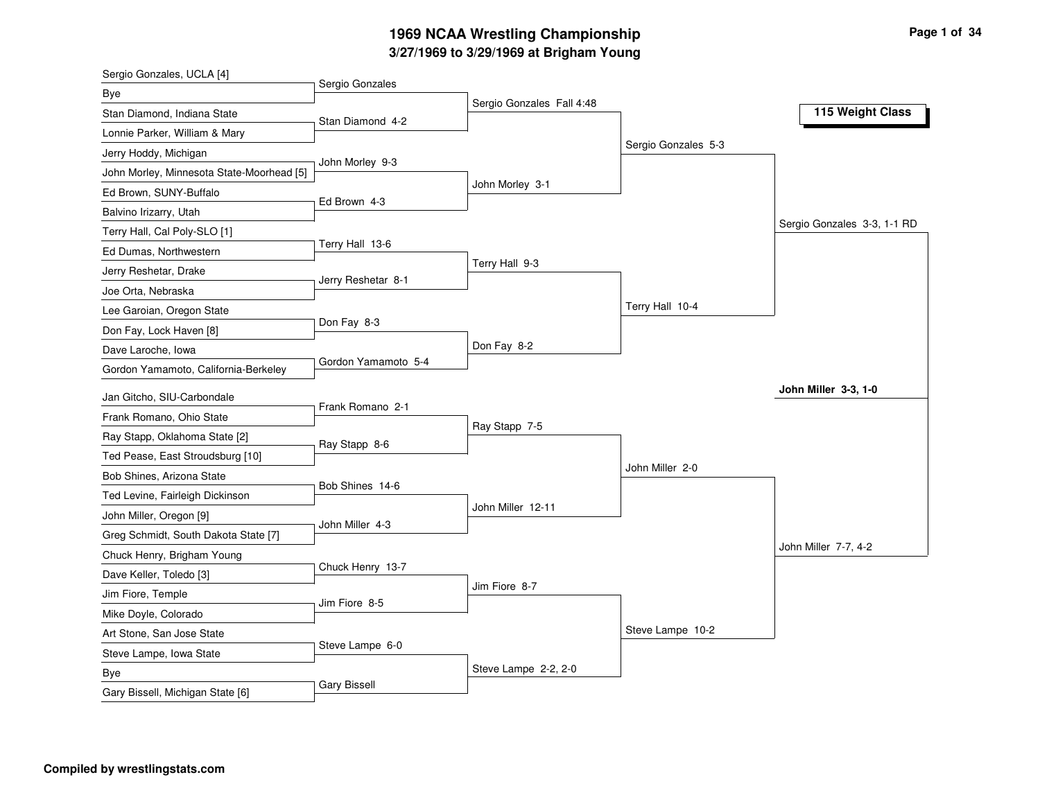# **3/27/1969 to 3/29/1969 at Brigham Young 1969 NCAA Wrestling Championship Page <sup>1</sup> of <sup>34</sup>**

| Sergio Gonzales, UCLA [4]                 |                     |                           |                     |                             |
|-------------------------------------------|---------------------|---------------------------|---------------------|-----------------------------|
| Bye                                       | Sergio Gonzales     |                           |                     |                             |
| Stan Diamond, Indiana State               | Stan Diamond 4-2    | Sergio Gonzales Fall 4:48 |                     | 115 Weight Class            |
| Lonnie Parker, William & Mary             |                     |                           |                     |                             |
| Jerry Hoddy, Michigan                     |                     |                           | Sergio Gonzales 5-3 |                             |
| John Morley, Minnesota State-Moorhead [5] | John Morley 9-3     |                           |                     |                             |
| Ed Brown, SUNY-Buffalo                    |                     | John Morley 3-1           |                     |                             |
| Balvino Irizarry, Utah                    | Ed Brown 4-3        |                           |                     |                             |
| Terry Hall, Cal Poly-SLO [1]              |                     |                           |                     | Sergio Gonzales 3-3, 1-1 RD |
| Ed Dumas, Northwestern                    | Terry Hall 13-6     |                           |                     |                             |
| Jerry Reshetar, Drake                     |                     | Terry Hall 9-3            |                     |                             |
| Joe Orta, Nebraska                        | Jerry Reshetar 8-1  |                           |                     |                             |
| Lee Garoian, Oregon State                 |                     |                           | Terry Hall 10-4     |                             |
| Don Fay, Lock Haven [8]                   | Don Fay 8-3         |                           |                     |                             |
| Dave Laroche, Iowa                        |                     | Don Fay 8-2               |                     |                             |
| Gordon Yamamoto, California-Berkeley      | Gordon Yamamoto 5-4 |                           |                     |                             |
| Jan Gitcho, SIU-Carbondale                |                     |                           |                     | John Miller 3-3, 1-0        |
| Frank Romano, Ohio State                  | Frank Romano 2-1    |                           |                     |                             |
|                                           |                     | Ray Stapp 7-5             |                     |                             |
| Ray Stapp, Oklahoma State [2]             | Ray Stapp 8-6       |                           |                     |                             |
| Ted Pease, East Stroudsburg [10]          |                     |                           | John Miller 2-0     |                             |
| Bob Shines, Arizona State                 | Bob Shines 14-6     |                           |                     |                             |
| Ted Levine, Fairleigh Dickinson           |                     | John Miller 12-11         |                     |                             |
| John Miller, Oregon [9]                   | John Miller 4-3     |                           |                     |                             |
| Greg Schmidt, South Dakota State [7]      |                     |                           |                     | John Miller 7-7, 4-2        |
| Chuck Henry, Brigham Young                | Chuck Henry 13-7    |                           |                     |                             |
| Dave Keller, Toledo [3]                   |                     | Jim Fiore 8-7             |                     |                             |
| Jim Fiore, Temple                         | Jim Fiore 8-5       |                           |                     |                             |
| Mike Doyle, Colorado                      |                     |                           | Steve Lampe 10-2    |                             |
| Art Stone, San Jose State                 | Steve Lampe 6-0     |                           |                     |                             |
| Steve Lampe, Iowa State                   |                     |                           |                     |                             |
| <b>Bye</b>                                | <b>Gary Bissell</b> | Steve Lampe 2-2, 2-0      |                     |                             |
| Gary Bissell, Michigan State [6]          |                     |                           |                     |                             |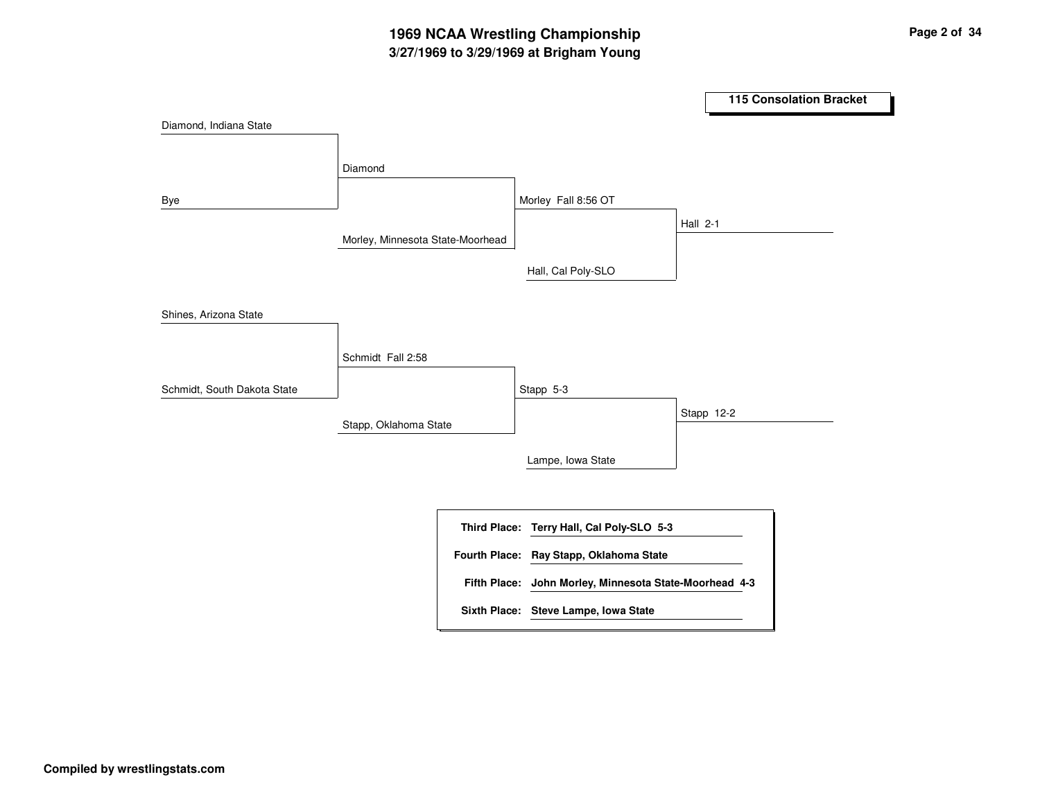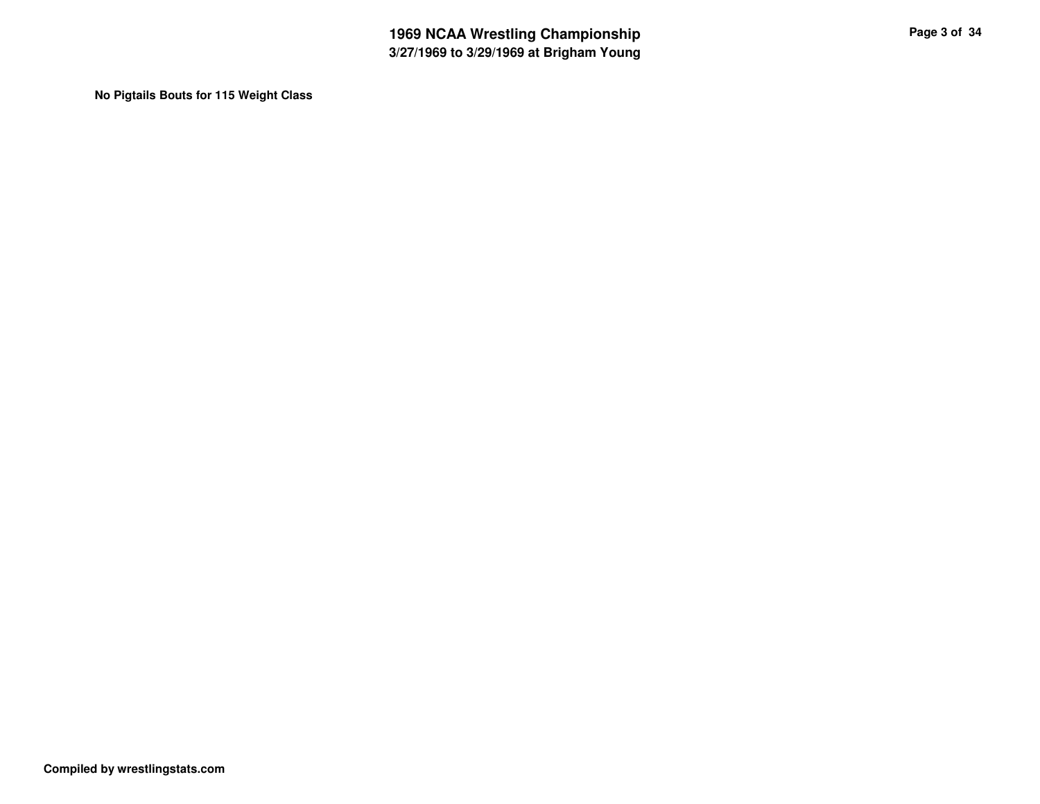**No Pigtails Bouts for 115 Weight Class**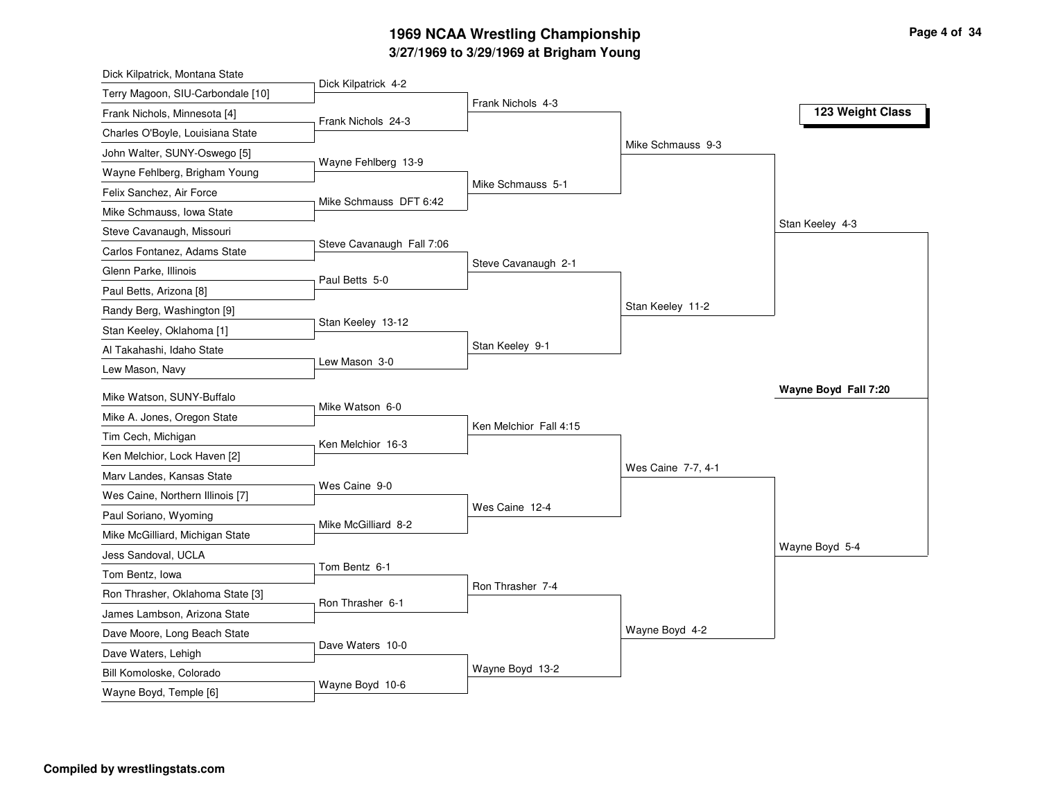## **3/27/1969 to 3/29/1969 at Brigham Young 1969 NCAA Wrestling Championship Page <sup>4</sup> of <sup>34</sup>**

| Dick Kilpatrick, Montana State                           |                           |                        |                    |                      |
|----------------------------------------------------------|---------------------------|------------------------|--------------------|----------------------|
| Terry Magoon, SIU-Carbondale [10]                        | Dick Kilpatrick 4-2       | Frank Nichols 4-3      |                    |                      |
| Frank Nichols, Minnesota [4]                             | Frank Nichols 24-3        |                        |                    | 123 Weight Class     |
| Charles O'Boyle, Louisiana State                         |                           |                        |                    |                      |
| John Walter, SUNY-Oswego [5]                             | Wayne Fehlberg 13-9       |                        | Mike Schmauss 9-3  |                      |
| Wayne Fehlberg, Brigham Young                            |                           |                        |                    |                      |
| Felix Sanchez, Air Force                                 | Mike Schmauss DFT 6:42    | Mike Schmauss 5-1      |                    |                      |
| Mike Schmauss, Iowa State                                |                           |                        |                    |                      |
| Steve Cavanaugh, Missouri                                |                           |                        |                    | Stan Keeley 4-3      |
| Carlos Fontanez, Adams State                             | Steve Cavanaugh Fall 7:06 |                        |                    |                      |
| Glenn Parke, Illinois                                    | Paul Betts 5-0            | Steve Cavanaugh 2-1    |                    |                      |
| Paul Betts, Arizona [8]                                  |                           |                        |                    |                      |
| Randy Berg, Washington [9]                               |                           |                        | Stan Keeley 11-2   |                      |
| Stan Keeley, Oklahoma [1]                                | Stan Keeley 13-12         |                        |                    |                      |
| Al Takahashi, Idaho State                                |                           | Stan Keeley 9-1        |                    |                      |
| Lew Mason, Navy                                          | Lew Mason 3-0             |                        |                    |                      |
|                                                          |                           |                        |                    |                      |
|                                                          |                           |                        |                    | Wayne Boyd Fall 7:20 |
| Mike Watson, SUNY-Buffalo<br>Mike A. Jones, Oregon State | Mike Watson 6-0           |                        |                    |                      |
| Tim Cech, Michigan                                       |                           | Ken Melchior Fall 4:15 |                    |                      |
| Ken Melchior, Lock Haven [2]                             | Ken Melchior 16-3         |                        |                    |                      |
| Marv Landes, Kansas State                                |                           |                        | Wes Caine 7-7, 4-1 |                      |
| Wes Caine, Northern Illinois [7]                         | Wes Caine 9-0             |                        |                    |                      |
| Paul Soriano, Wyoming                                    |                           | Wes Caine 12-4         |                    |                      |
| Mike McGilliard, Michigan State                          | Mike McGilliard 8-2       |                        |                    |                      |
| Jess Sandoval, UCLA                                      |                           |                        |                    | Wayne Boyd 5-4       |
| Tom Bentz, Iowa                                          | Tom Bentz 6-1             |                        |                    |                      |
| Ron Thrasher, Oklahoma State [3]                         |                           | Ron Thrasher 7-4       |                    |                      |
| James Lambson, Arizona State                             | Ron Thrasher 6-1          |                        |                    |                      |
| Dave Moore, Long Beach State                             |                           |                        | Wayne Boyd 4-2     |                      |
| Dave Waters, Lehigh                                      | Dave Waters 10-0          |                        |                    |                      |
| Bill Komoloske, Colorado                                 | Wayne Boyd 10-6           | Wayne Boyd 13-2        |                    |                      |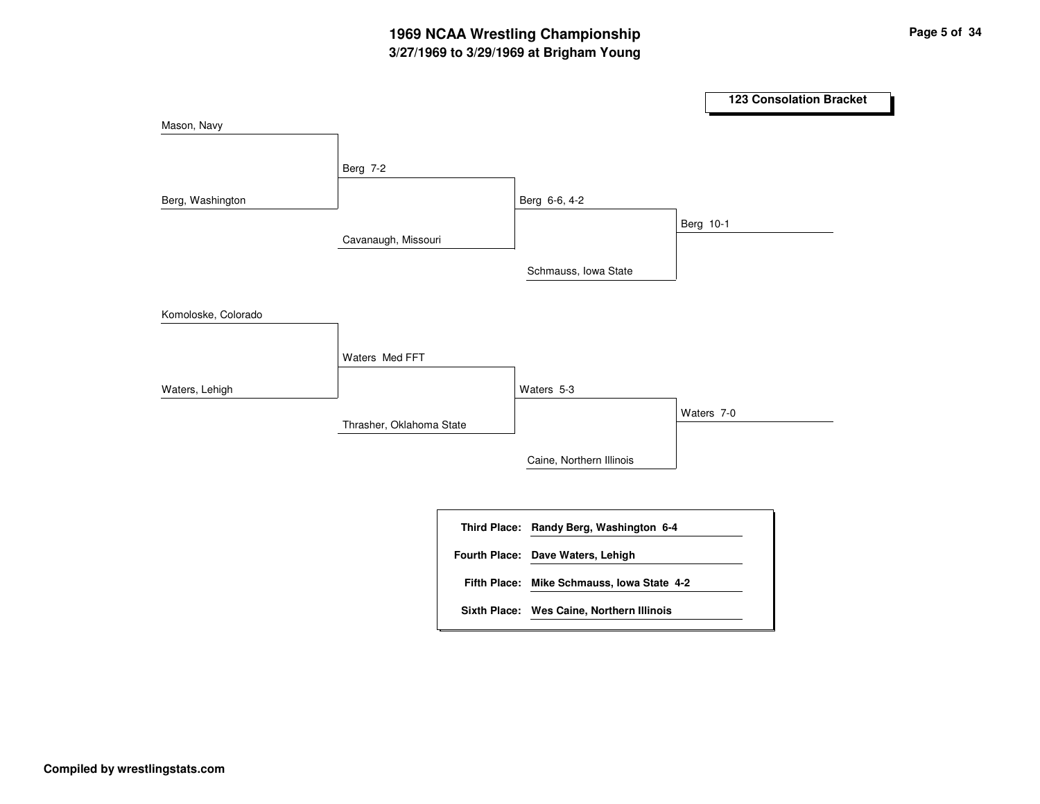|                     |                          |                                            |           | 123 Consolation Bracket |
|---------------------|--------------------------|--------------------------------------------|-----------|-------------------------|
| Mason, Navy         |                          |                                            |           |                         |
|                     | Berg 7-2                 |                                            |           |                         |
| Berg, Washington    |                          | Berg 6-6, 4-2                              |           |                         |
|                     | Cavanaugh, Missouri      |                                            | Berg 10-1 |                         |
|                     |                          | Schmauss, Iowa State                       |           |                         |
| Komoloske, Colorado |                          |                                            |           |                         |
|                     | Waters Med FFT           |                                            |           |                         |
| Waters, Lehigh      |                          | Waters 5-3                                 |           |                         |
|                     | Thrasher, Oklahoma State |                                            |           | Waters 7-0              |
|                     |                          | Caine, Northern Illinois                   |           |                         |
|                     |                          | Third Place: Randy Berg, Washington 6-4    |           |                         |
|                     |                          | Fourth Place: Dave Waters, Lehigh          |           |                         |
|                     |                          | Fifth Place: Mike Schmauss, Iowa State 4-2 |           |                         |
|                     |                          | Sixth Place: Wes Caine, Northern Illinois  |           |                         |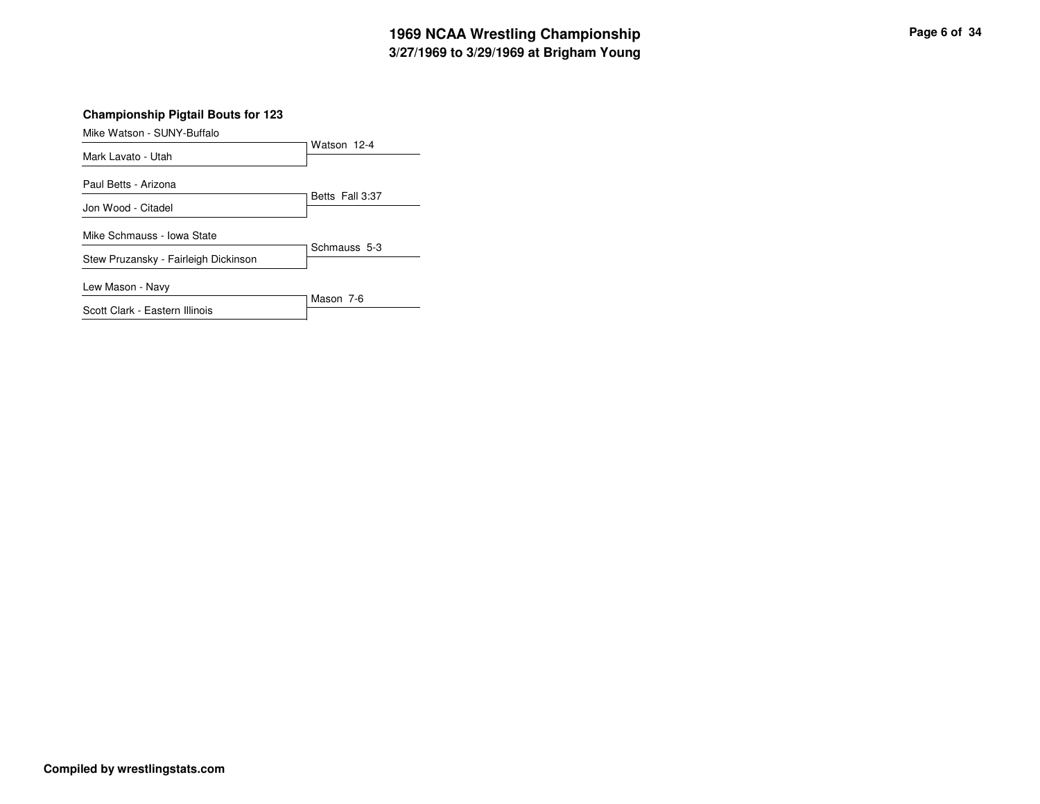# **3/27/1969 to 3/29/1969 at Brigham Young 1969 NCAA Wrestling Championship Page <sup>6</sup> of <sup>34</sup>**

#### **Championship Pigtail Bouts for 123**

| Mike Watson - SUNY-Buffalo           |                 |
|--------------------------------------|-----------------|
|                                      | Watson 12-4     |
| Mark Lavato - Utah                   |                 |
|                                      |                 |
| Paul Betts - Arizona                 | Betts Fall 3:37 |
| Jon Wood - Citadel                   |                 |
|                                      |                 |
| Mike Schmauss - Iowa State           |                 |
|                                      | Schmauss 5-3    |
| Stew Pruzansky - Fairleigh Dickinson |                 |
| Lew Mason - Navy                     |                 |
|                                      | Mason 7-6       |
| Scott Clark - Eastern Illinois       |                 |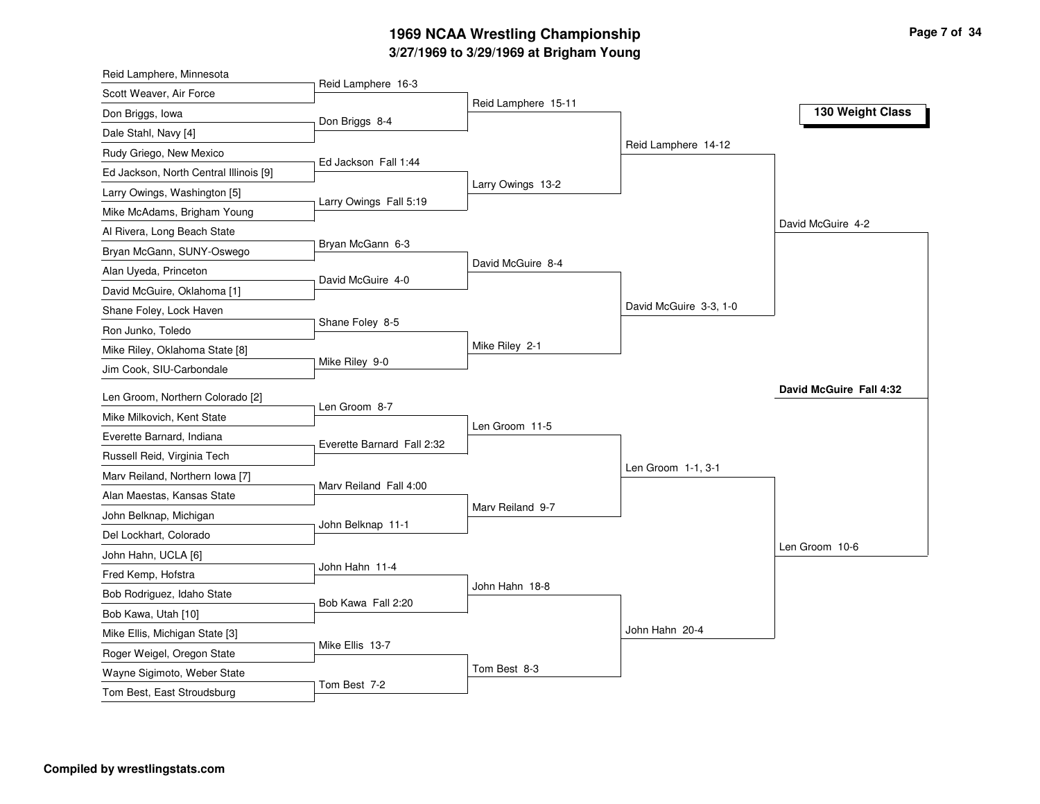# **3/27/1969 to 3/29/1969 at Brigham Young 1969 NCAA Wrestling Championship Page <sup>7</sup> of <sup>34</sup>**

| Reid Lamphere, Minnesota                                  |                            |                     |                        |                         |
|-----------------------------------------------------------|----------------------------|---------------------|------------------------|-------------------------|
| Scott Weaver, Air Force                                   | Reid Lamphere 16-3         |                     |                        |                         |
| Don Briggs, Iowa                                          | Don Briggs 8-4             | Reid Lamphere 15-11 |                        | 130 Weight Class        |
| Dale Stahl, Navy [4]                                      |                            |                     |                        |                         |
| Rudy Griego, New Mexico                                   |                            |                     | Reid Lamphere 14-12    |                         |
| Ed Jackson, North Central Illinois [9]                    | Ed Jackson Fall 1:44       |                     |                        |                         |
| Larry Owings, Washington [5]                              |                            | Larry Owings 13-2   |                        |                         |
| Mike McAdams, Brigham Young                               | Larry Owings Fall 5:19     |                     |                        |                         |
| Al Rivera, Long Beach State                               |                            |                     |                        | David McGuire 4-2       |
| Bryan McGann, SUNY-Oswego                                 | Bryan McGann 6-3           |                     |                        |                         |
| Alan Uyeda, Princeton                                     | David McGuire 4-0          | David McGuire 8-4   |                        |                         |
| David McGuire, Oklahoma [1]                               |                            |                     |                        |                         |
| Shane Foley, Lock Haven                                   |                            |                     | David McGuire 3-3, 1-0 |                         |
| Ron Junko, Toledo                                         | Shane Foley 8-5            |                     |                        |                         |
| Mike Riley, Oklahoma State [8]                            |                            | Mike Riley 2-1      |                        |                         |
| Jim Cook, SIU-Carbondale                                  | Mike Riley 9-0             |                     |                        |                         |
|                                                           |                            |                     |                        |                         |
|                                                           |                            |                     |                        | David McGuire Fall 4:32 |
| Len Groom, Northern Colorado [2]                          | Len Groom 8-7              |                     |                        |                         |
| Mike Milkovich, Kent State                                |                            | Len Groom 11-5      |                        |                         |
| Everette Barnard, Indiana                                 | Everette Barnard Fall 2:32 |                     |                        |                         |
| Russell Reid, Virginia Tech                               |                            |                     | Len Groom 1-1, 3-1     |                         |
| Marv Reiland, Northern Iowa [7]                           | Marv Reiland Fall 4:00     |                     |                        |                         |
| Alan Maestas, Kansas State                                |                            | Marv Reiland 9-7    |                        |                         |
| John Belknap, Michigan                                    | John Belknap 11-1          |                     |                        |                         |
| Del Lockhart, Colorado                                    |                            |                     |                        | Len Groom 10-6          |
| John Hahn, UCLA [6]                                       | John Hahn 11-4             |                     |                        |                         |
| Fred Kemp, Hofstra                                        |                            | John Hahn 18-8      |                        |                         |
| Bob Rodriguez, Idaho State                                | Bob Kawa Fall 2:20         |                     |                        |                         |
| Bob Kawa, Utah [10]                                       |                            |                     |                        |                         |
| Mike Ellis, Michigan State [3]                            | Mike Ellis 13-7            |                     | John Hahn 20-4         |                         |
| Roger Weigel, Oregon State                                |                            |                     |                        |                         |
| Wayne Sigimoto, Weber State<br>Tom Best, East Stroudsburg | Tom Best 7-2               | Tom Best 8-3        |                        |                         |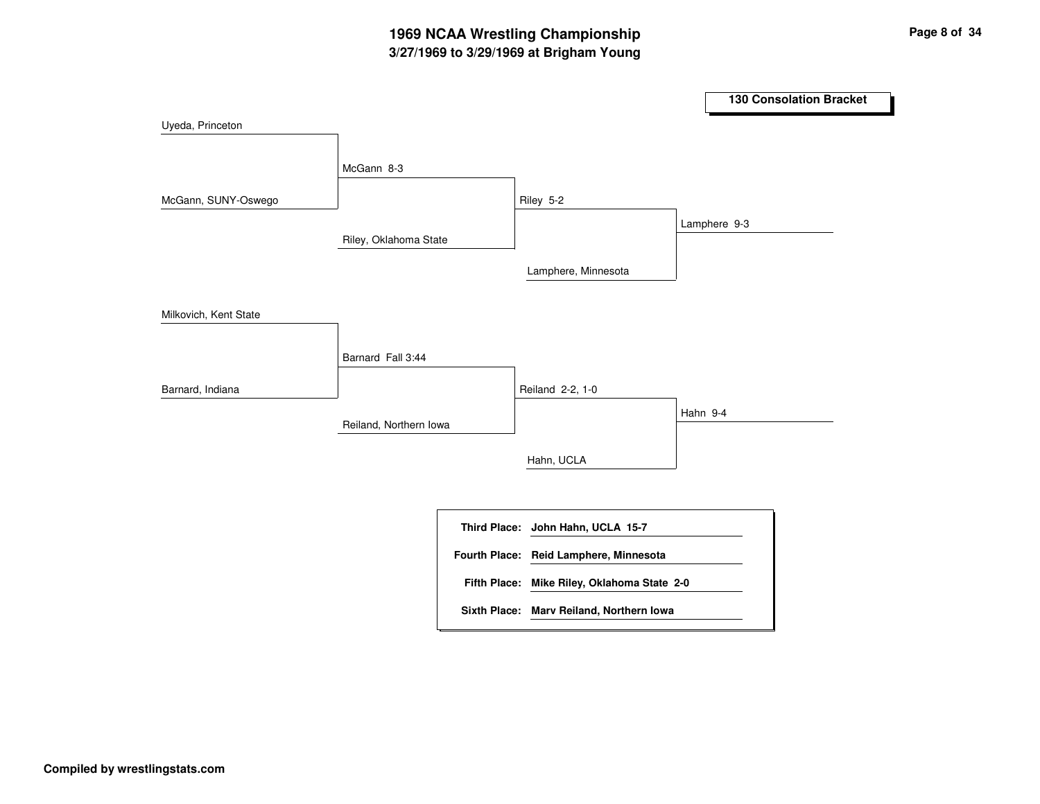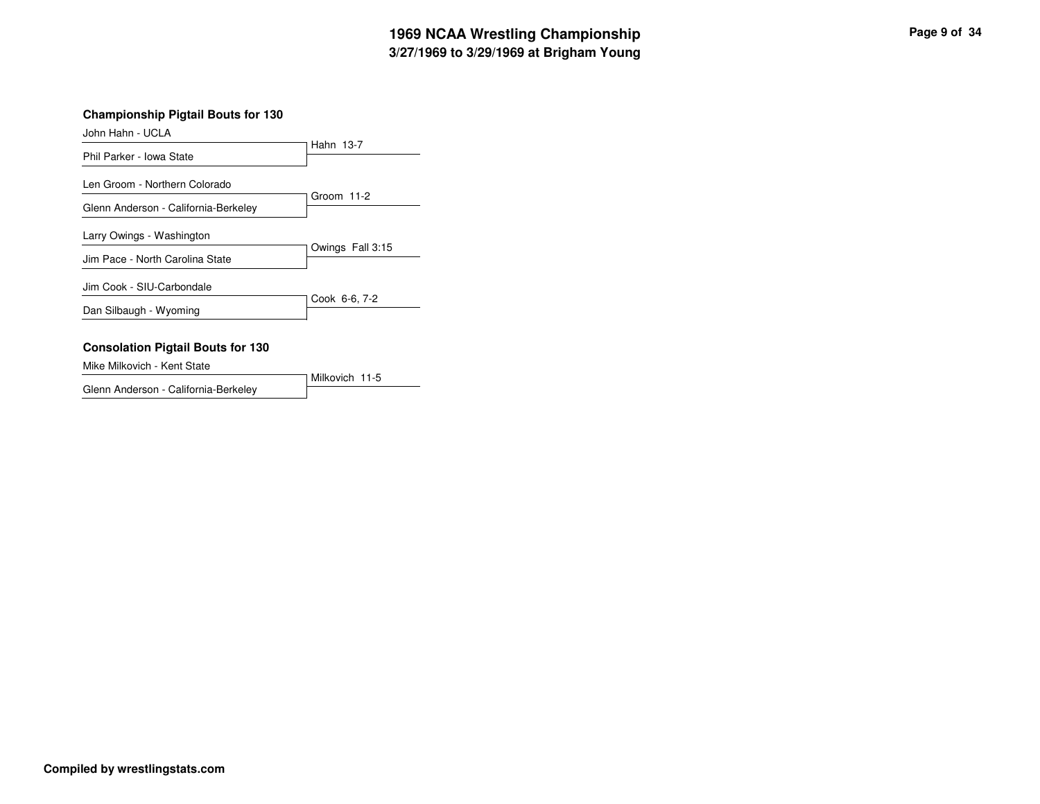# **3/27/1969 to 3/29/1969 at Brigham Young 1969 NCAA Wrestling Championship Page <sup>9</sup> of <sup>34</sup>**

#### **Championship Pigtail Bouts for 130**

John Hahn - UCLA

|                                                              | Hahn 13-7        |
|--------------------------------------------------------------|------------------|
| Phil Parker - Iowa State                                     |                  |
| Len Groom - Northern Colorado                                |                  |
| Glenn Anderson - California-Berkeley                         | Groom 11-2       |
| Larry Owings - Washington<br>Jim Pace - North Carolina State | Owings Fall 3:15 |
| Jim Cook - SIU-Carbondale                                    |                  |
| Dan Silbaugh - Wyoming                                       | Cook 6-6, 7-2    |
| <b>Consolation Pigtail Bouts for 130</b>                     |                  |

# Mike Milkovich - Kent State

Milkovich 11-5 Glenn Anderson - California-Berkeley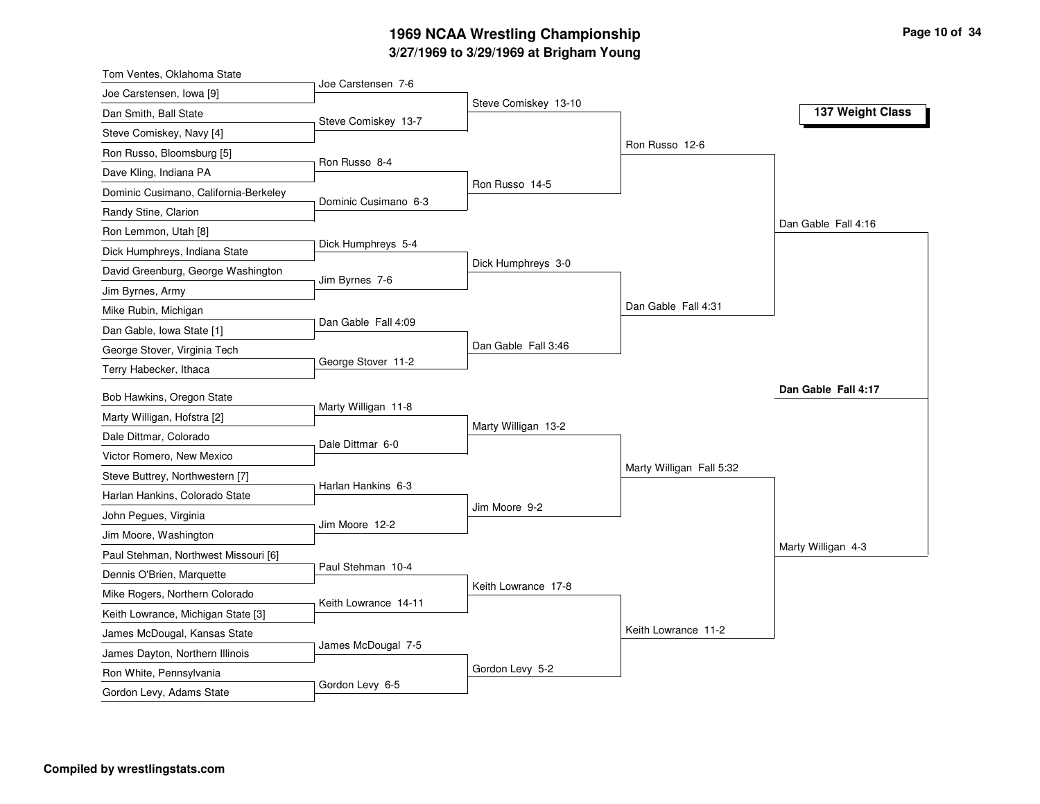# **3/27/1969 to 3/29/1969 at Brigham Young 1969 NCAA Wrestling Championship Page <sup>10</sup> of <sup>34</sup>**

| Tom Ventes, Oklahoma State                               |                      |                      |                          |                     |
|----------------------------------------------------------|----------------------|----------------------|--------------------------|---------------------|
| Joe Carstensen, Iowa [9]                                 | Joe Carstensen 7-6   |                      |                          |                     |
| Dan Smith, Ball State                                    | Steve Comiskey 13-7  | Steve Comiskey 13-10 |                          | 137 Weight Class    |
| Steve Comiskey, Navy [4]                                 |                      |                      |                          |                     |
| Ron Russo, Bloomsburg [5]                                |                      |                      | Ron Russo 12-6           |                     |
| Dave Kling, Indiana PA                                   | Ron Russo 8-4        |                      |                          |                     |
| Dominic Cusimano, California-Berkeley                    |                      | Ron Russo 14-5       |                          |                     |
| Randy Stine, Clarion                                     | Dominic Cusimano 6-3 |                      |                          |                     |
| Ron Lemmon, Utah [8]                                     |                      |                      |                          | Dan Gable Fall 4:16 |
| Dick Humphreys, Indiana State                            | Dick Humphreys 5-4   |                      |                          |                     |
| David Greenburg, George Washington                       |                      | Dick Humphreys 3-0   |                          |                     |
| Jim Byrnes, Army                                         | Jim Byrnes 7-6       |                      |                          |                     |
| Mike Rubin, Michigan                                     |                      |                      | Dan Gable Fall 4:31      |                     |
| Dan Gable, Iowa State [1]                                | Dan Gable Fall 4:09  |                      |                          |                     |
| George Stover, Virginia Tech                             |                      | Dan Gable Fall 3:46  |                          |                     |
| Terry Habecker, Ithaca                                   | George Stover 11-2   |                      |                          |                     |
|                                                          |                      |                      |                          | Dan Gable Fall 4:17 |
| Bob Hawkins, Oregon State<br>Marty Willigan, Hofstra [2] | Marty Willigan 11-8  |                      |                          |                     |
| Dale Dittmar, Colorado                                   |                      | Marty Willigan 13-2  |                          |                     |
| Victor Romero, New Mexico                                | Dale Dittmar 6-0     |                      |                          |                     |
|                                                          |                      |                      | Marty Willigan Fall 5:32 |                     |
| Steve Buttrey, Northwestern [7]                          | Harlan Hankins 6-3   |                      |                          |                     |
| Harlan Hankins, Colorado State                           |                      | Jim Moore 9-2        |                          |                     |
| John Pegues, Virginia                                    | Jim Moore 12-2       |                      |                          |                     |
| Jim Moore, Washington                                    |                      |                      |                          | Marty Willigan 4-3  |
| Paul Stehman, Northwest Missouri [6]                     | Paul Stehman 10-4    |                      |                          |                     |
| Dennis O'Brien, Marquette                                |                      | Keith Lowrance 17-8  |                          |                     |
| Mike Rogers, Northern Colorado                           | Keith Lowrance 14-11 |                      |                          |                     |
| Keith Lowrance, Michigan State [3]                       |                      |                      | Keith Lowrance 11-2      |                     |
| James McDougal, Kansas State                             | James McDougal 7-5   |                      |                          |                     |
| James Dayton, Northern Illinois                          |                      | Gordon Levy 5-2      |                          |                     |
| Ron White, Pennsylvania                                  | Gordon Levy 6-5      |                      |                          |                     |
| Gordon Levy, Adams State                                 |                      |                      |                          |                     |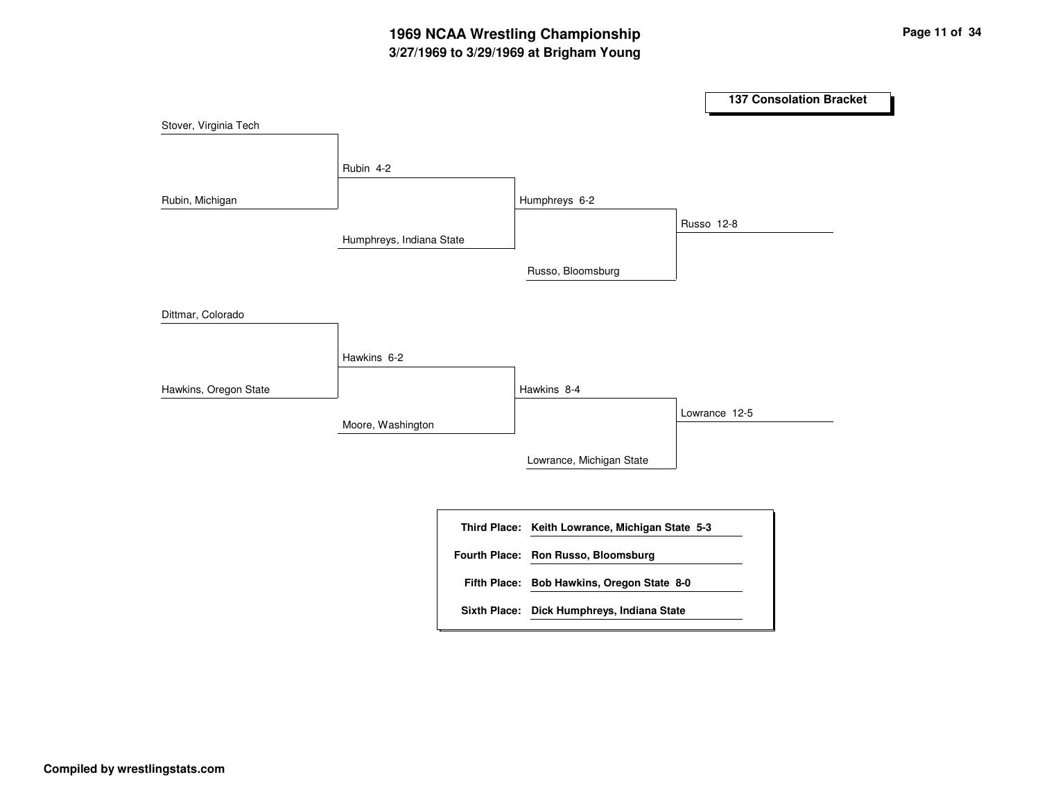# **3/27/1969 to 3/29/1969 at Brigham Young 1969 NCAA Wrestling Championship Page <sup>11</sup> of <sup>34</sup>**

|                       |                          |                                                 | <b>137 Consolation Bracket</b> |
|-----------------------|--------------------------|-------------------------------------------------|--------------------------------|
| Stover, Virginia Tech |                          |                                                 |                                |
|                       | Rubin 4-2                |                                                 |                                |
| Rubin, Michigan       |                          | Humphreys 6-2                                   |                                |
|                       | Humphreys, Indiana State |                                                 | Russo 12-8                     |
|                       |                          | Russo, Bloomsburg                               |                                |
| Dittmar, Colorado     |                          |                                                 |                                |
|                       | Hawkins 6-2              |                                                 |                                |
| Hawkins, Oregon State |                          | Hawkins 8-4                                     |                                |
|                       | Moore, Washington        |                                                 | Lowrance 12-5                  |
|                       |                          | Lowrance, Michigan State                        |                                |
|                       |                          | Third Place: Keith Lowrance, Michigan State 5-3 |                                |
|                       |                          | Fourth Place: Ron Russo, Bloomsburg             |                                |
|                       |                          | Fifth Place: Bob Hawkins, Oregon State 8-0      |                                |
|                       |                          | Sixth Place: Dick Humphreys, Indiana State      |                                |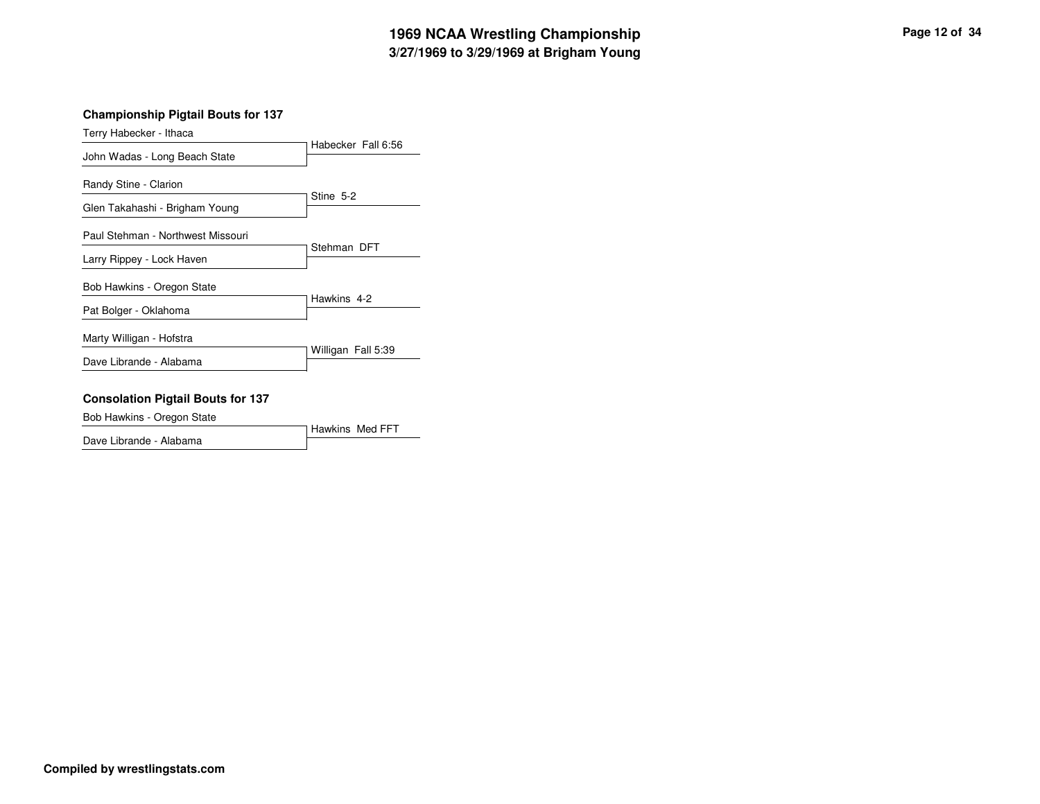# **3/27/1969 to 3/29/1969 at Brigham Young 1969 NCAA Wrestling Championship Page <sup>12</sup> of <sup>34</sup>**

#### **Championship Pigtail Bouts for 137**

| Terry Habecker - Ithaca           |                    |
|-----------------------------------|--------------------|
| John Wadas - Long Beach State     | Habecker Fall 6:56 |
| Randy Stine - Clarion             |                    |
| Glen Takahashi - Brigham Young    | Stine 5-2          |
| Paul Stehman - Northwest Missouri |                    |
| Larry Rippey - Lock Haven         | Stehman DFT        |
| Bob Hawkins - Oregon State        |                    |
| Pat Bolger - Oklahoma             | Hawkins 4-2        |
| Marty Willigan - Hofstra          |                    |
| Dave Librande - Alabama           | Willigan Fall 5:39 |
|                                   |                    |

#### **Consolation Pigtail Bouts for 137**

Bob Hawkins - Oregon State

Hawkins Med FFT Dave Librande - Alabama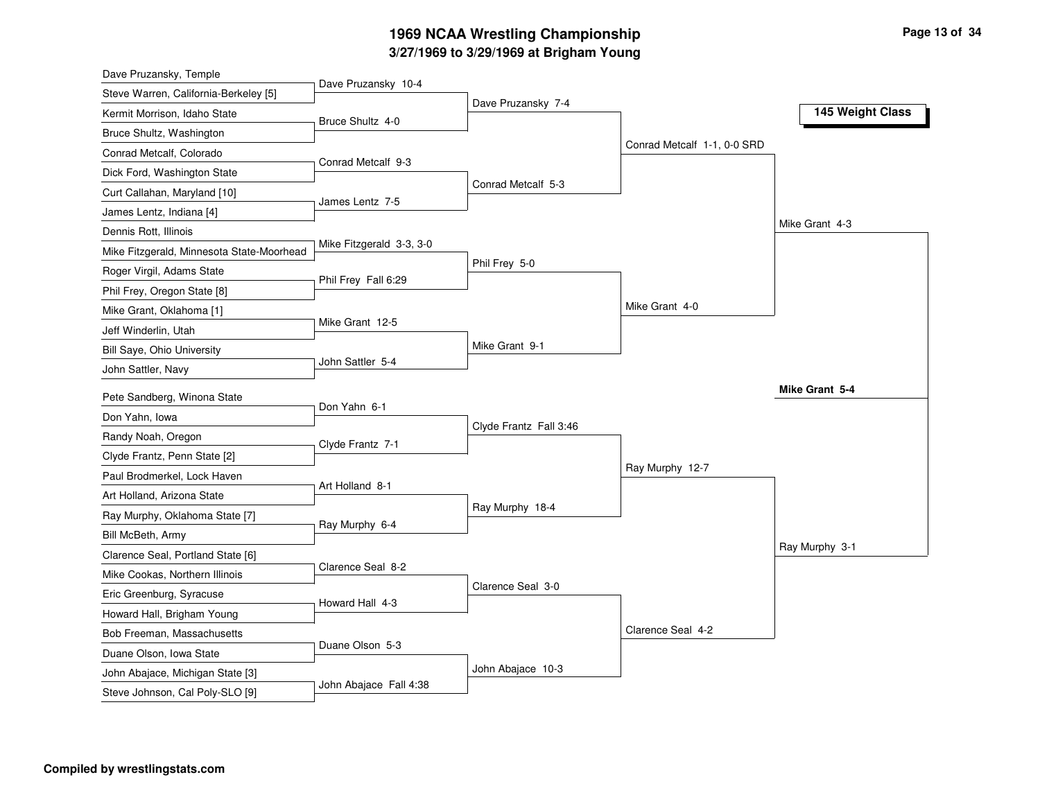# **3/27/1969 to 3/29/1969 at Brigham Young 1969 NCAA Wrestling Championship Page <sup>13</sup> of <sup>34</sup>**

| Dave Pruzansky, Temple                    |                          |                        |                             |                  |
|-------------------------------------------|--------------------------|------------------------|-----------------------------|------------------|
| Steve Warren, California-Berkeley [5]     | Dave Pruzansky 10-4      | Dave Pruzansky 7-4     |                             |                  |
| Kermit Morrison, Idaho State              | Bruce Shultz 4-0         |                        |                             | 145 Weight Class |
| Bruce Shultz, Washington                  |                          |                        |                             |                  |
| Conrad Metcalf, Colorado                  |                          |                        | Conrad Metcalf 1-1, 0-0 SRD |                  |
| Dick Ford, Washington State               | Conrad Metcalf 9-3       |                        |                             |                  |
| Curt Callahan, Maryland [10]              |                          | Conrad Metcalf 5-3     |                             |                  |
| James Lentz, Indiana [4]                  | James Lentz 7-5          |                        |                             |                  |
| Dennis Rott, Illinois                     |                          |                        |                             | Mike Grant 4-3   |
| Mike Fitzgerald, Minnesota State-Moorhead | Mike Fitzgerald 3-3, 3-0 |                        |                             |                  |
| Roger Virgil, Adams State                 | Phil Frey Fall 6:29      | Phil Frey 5-0          |                             |                  |
| Phil Frey, Oregon State [8]               |                          |                        |                             |                  |
| Mike Grant, Oklahoma [1]                  |                          |                        | Mike Grant 4-0              |                  |
| Jeff Winderlin, Utah                      | Mike Grant 12-5          |                        |                             |                  |
| Bill Saye, Ohio University                |                          | Mike Grant 9-1         |                             |                  |
| John Sattler, Navy                        | John Sattler 5-4         |                        |                             |                  |
| Pete Sandberg, Winona State               |                          |                        |                             | Mike Grant 5-4   |
| Don Yahn, Iowa                            | Don Yahn 6-1             |                        |                             |                  |
| Randy Noah, Oregon                        |                          | Clyde Frantz Fall 3:46 |                             |                  |
| Clyde Frantz, Penn State [2]              | Clyde Frantz 7-1         |                        |                             |                  |
| Paul Brodmerkel, Lock Haven               |                          |                        | Ray Murphy 12-7             |                  |
| Art Holland, Arizona State                | Art Holland 8-1          |                        |                             |                  |
| Ray Murphy, Oklahoma State [7]            |                          | Ray Murphy 18-4        |                             |                  |
| Bill McBeth, Army                         | Ray Murphy 6-4           |                        |                             |                  |
| Clarence Seal, Portland State [6]         |                          |                        |                             | Ray Murphy 3-1   |
| Mike Cookas, Northern Illinois            | Clarence Seal 8-2        |                        |                             |                  |
| Eric Greenburg, Syracuse                  |                          | Clarence Seal 3-0      |                             |                  |
| Howard Hall, Brigham Young                | Howard Hall 4-3          |                        |                             |                  |
| Bob Freeman, Massachusetts                |                          |                        | Clarence Seal 4-2           |                  |
| Duane Olson, Iowa State                   | Duane Olson 5-3          |                        |                             |                  |
| John Abajace, Michigan State [3]          |                          | John Abajace 10-3      |                             |                  |
| Steve Johnson, Cal Poly-SLO [9]           | John Abajace Fall 4:38   |                        |                             |                  |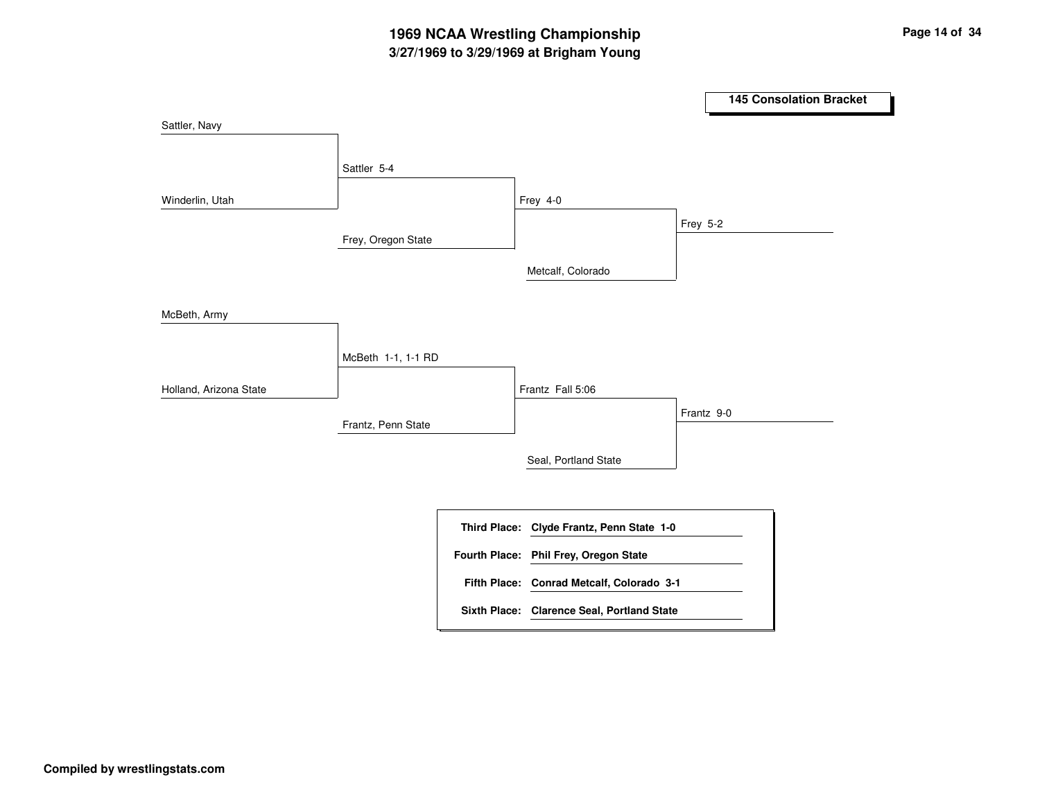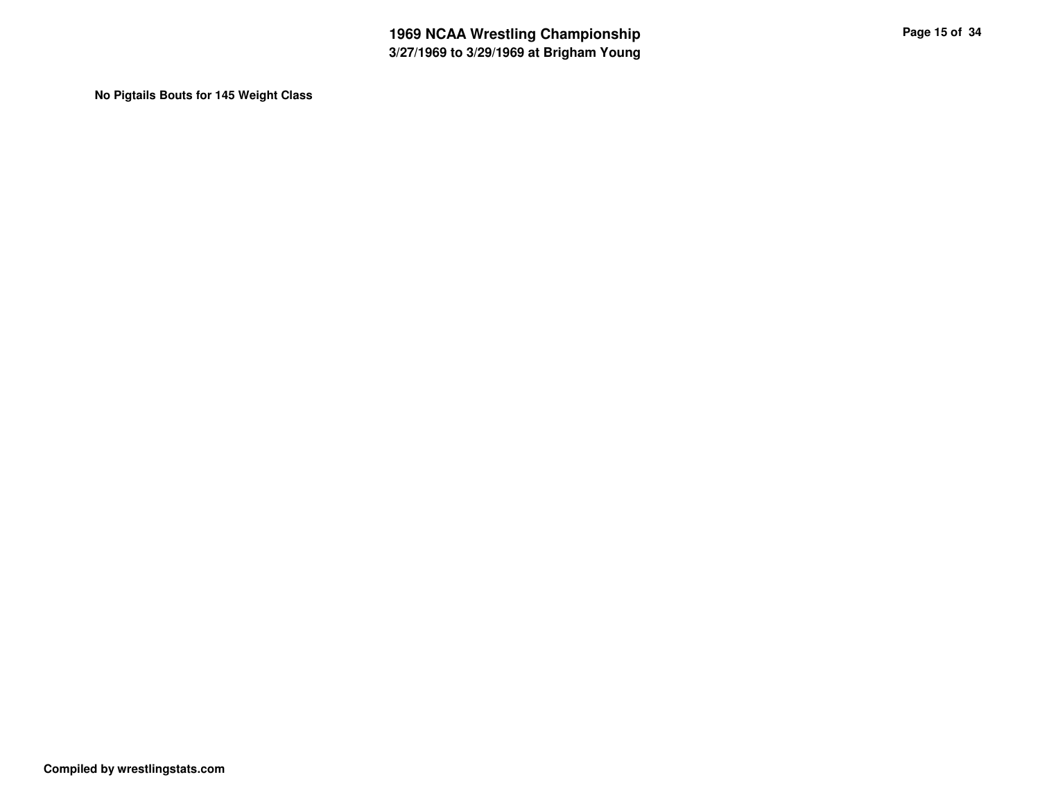**No Pigtails Bouts for 145 Weight Class**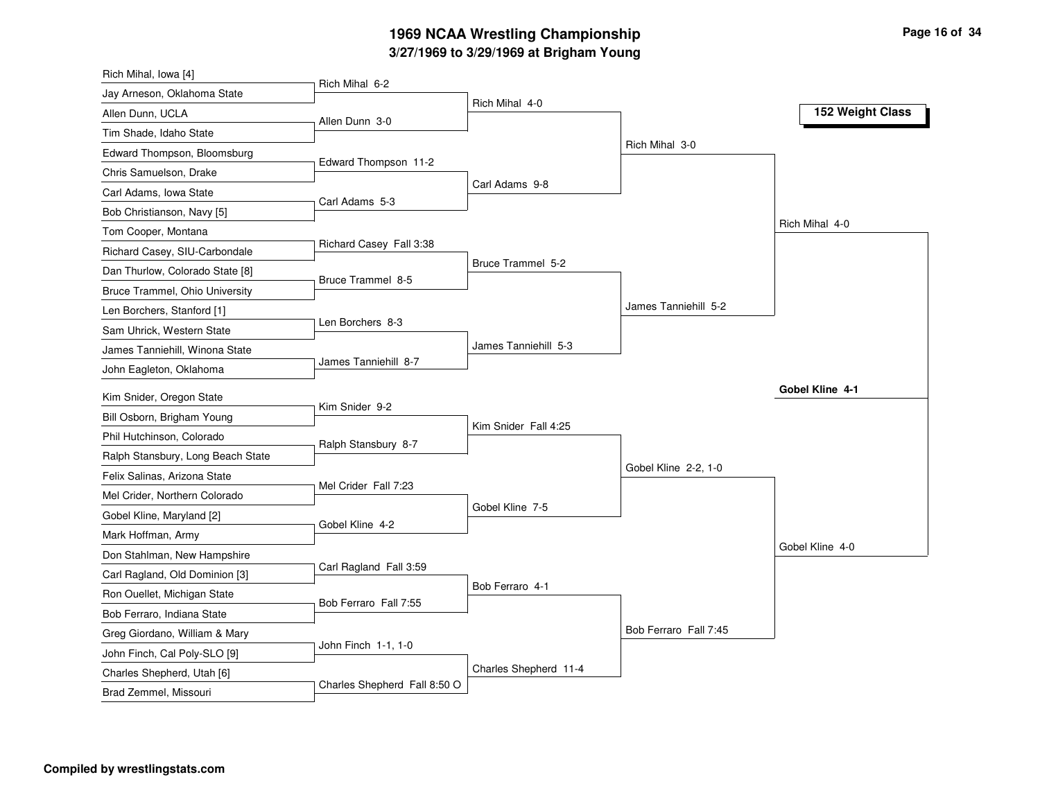## **3/27/1969 to 3/29/1969 at Brigham Young 1969 NCAA Wrestling Championship Page <sup>16</sup> of <sup>34</sup>**

| Rich Mihal, Iowa [4]                                |                              |                       |                       |                  |
|-----------------------------------------------------|------------------------------|-----------------------|-----------------------|------------------|
| Jay Arneson, Oklahoma State                         | Rich Mihal 6-2               |                       |                       |                  |
| Allen Dunn, UCLA                                    | Allen Dunn 3-0               | Rich Mihal 4-0        |                       | 152 Weight Class |
| Tim Shade, Idaho State                              |                              |                       |                       |                  |
| Edward Thompson, Bloomsburg                         |                              |                       | Rich Mihal 3-0        |                  |
| Chris Samuelson, Drake                              | Edward Thompson 11-2         |                       |                       |                  |
| Carl Adams, Iowa State                              |                              | Carl Adams 9-8        |                       |                  |
| Bob Christianson, Navy [5]                          | Carl Adams 5-3               |                       |                       |                  |
| Tom Cooper, Montana                                 |                              |                       |                       | Rich Mihal 4-0   |
| Richard Casey, SIU-Carbondale                       | Richard Casey Fall 3:38      |                       |                       |                  |
| Dan Thurlow, Colorado State [8]                     |                              | Bruce Trammel 5-2     |                       |                  |
| Bruce Trammel, Ohio University                      | Bruce Trammel 8-5            |                       |                       |                  |
| Len Borchers, Stanford [1]                          |                              |                       | James Tanniehill 5-2  |                  |
| Sam Uhrick, Western State                           | Len Borchers 8-3             |                       |                       |                  |
| James Tanniehill, Winona State                      |                              | James Tanniehill 5-3  |                       |                  |
| John Eagleton, Oklahoma                             | James Tanniehill 8-7         |                       |                       |                  |
| Kim Snider, Oregon State                            |                              |                       |                       | Gobel Kline 4-1  |
| Bill Osborn, Brigham Young                          | Kim Snider 9-2               |                       |                       |                  |
| Phil Hutchinson, Colorado                           |                              | Kim Snider Fall 4:25  |                       |                  |
| Ralph Stansbury, Long Beach State                   | Ralph Stansbury 8-7          |                       |                       |                  |
| Felix Salinas, Arizona State                        |                              |                       | Gobel Kline 2-2, 1-0  |                  |
|                                                     | Mel Crider Fall 7:23         |                       |                       |                  |
| Mel Crider, Northern Colorado                       |                              | Gobel Kline 7-5       |                       |                  |
| Gobel Kline, Maryland [2]                           | Gobel Kline 4-2              |                       |                       |                  |
| Mark Hoffman, Army                                  |                              |                       |                       | Gobel Kline 4-0  |
| Don Stahlman, New Hampshire                         | Carl Ragland Fall 3:59       |                       |                       |                  |
| Carl Ragland, Old Dominion [3]                      |                              | Bob Ferraro 4-1       |                       |                  |
| Ron Ouellet, Michigan State                         | Bob Ferraro Fall 7:55        |                       |                       |                  |
| Bob Ferraro, Indiana State                          |                              |                       | Bob Ferraro Fall 7:45 |                  |
| Greg Giordano, William & Mary                       | John Finch 1-1, 1-0          |                       |                       |                  |
| John Finch, Cal Poly-SLO [9]                        |                              | Charles Shepherd 11-4 |                       |                  |
| Charles Shepherd, Utah [6]<br>Brad Zemmel, Missouri | Charles Shepherd Fall 8:50 O |                       |                       |                  |
|                                                     |                              |                       |                       |                  |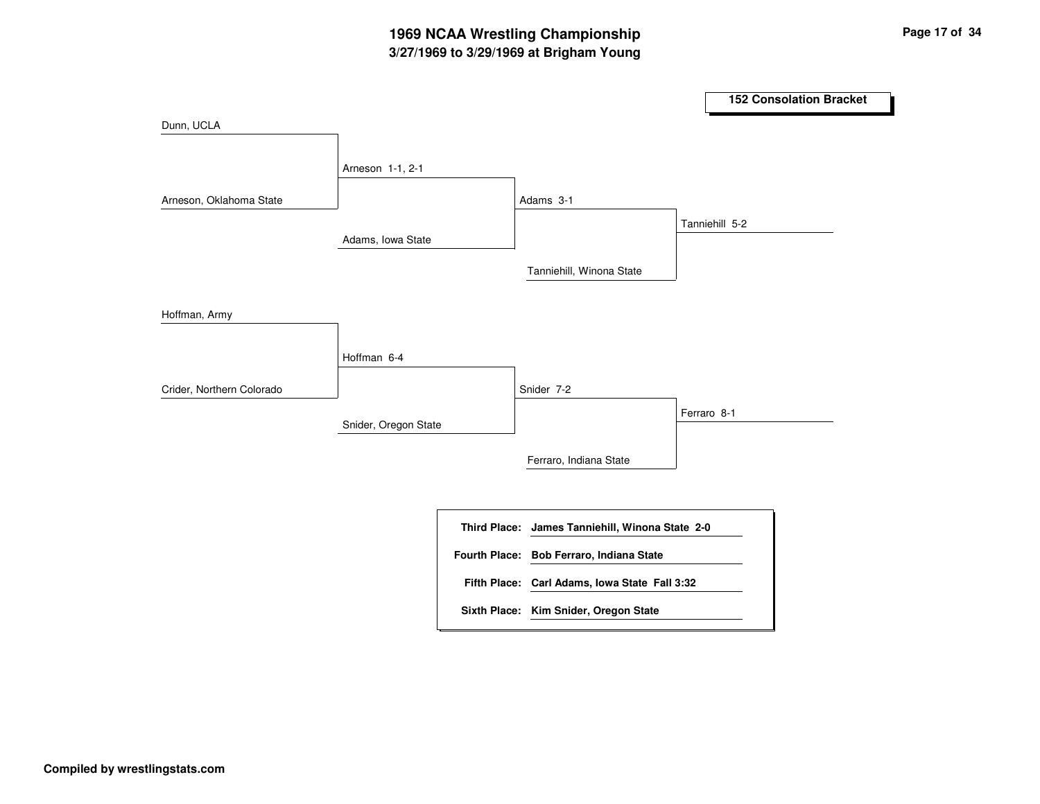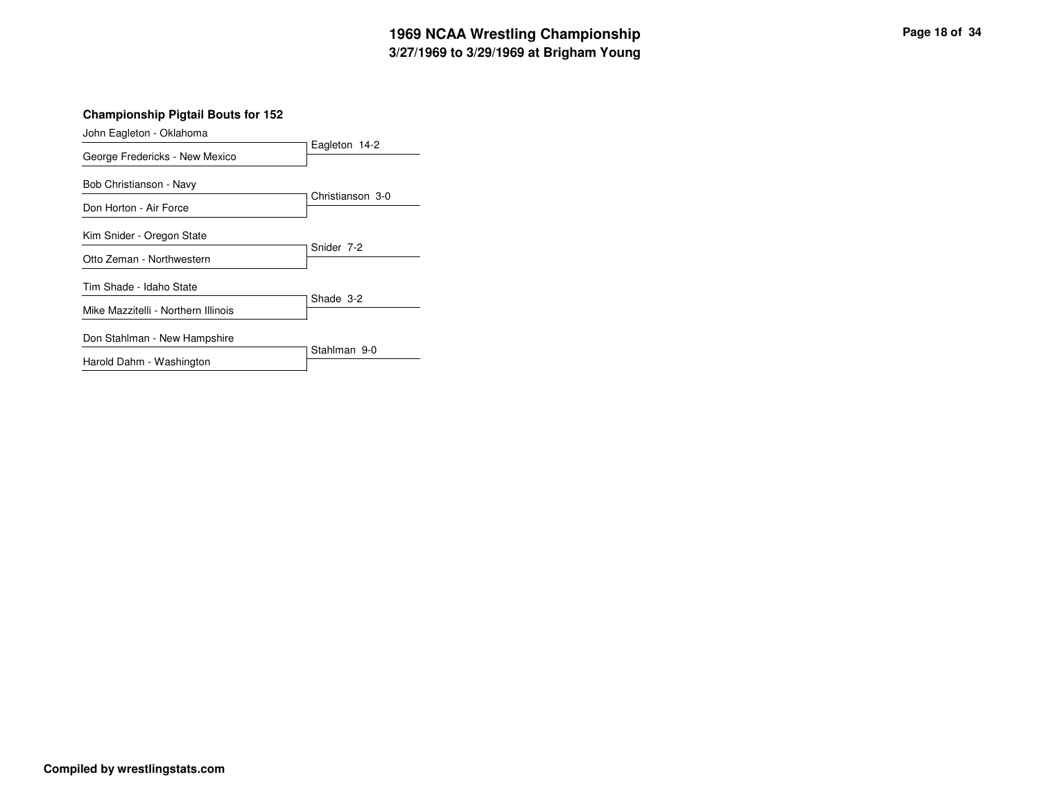# **3/27/1969 to 3/29/1969 at Brigham Young 1969 NCAA Wrestling Championship Page <sup>18</sup> of <sup>34</sup>**

#### **Championship Pigtail Bouts for 152**

| Eagleton 14-2    |  |  |
|------------------|--|--|
| Christianson 3-0 |  |  |
|                  |  |  |
|                  |  |  |
| Snider 7-2       |  |  |
|                  |  |  |
| Shade 3-2        |  |  |
|                  |  |  |
| Stahlman 9-0     |  |  |
|                  |  |  |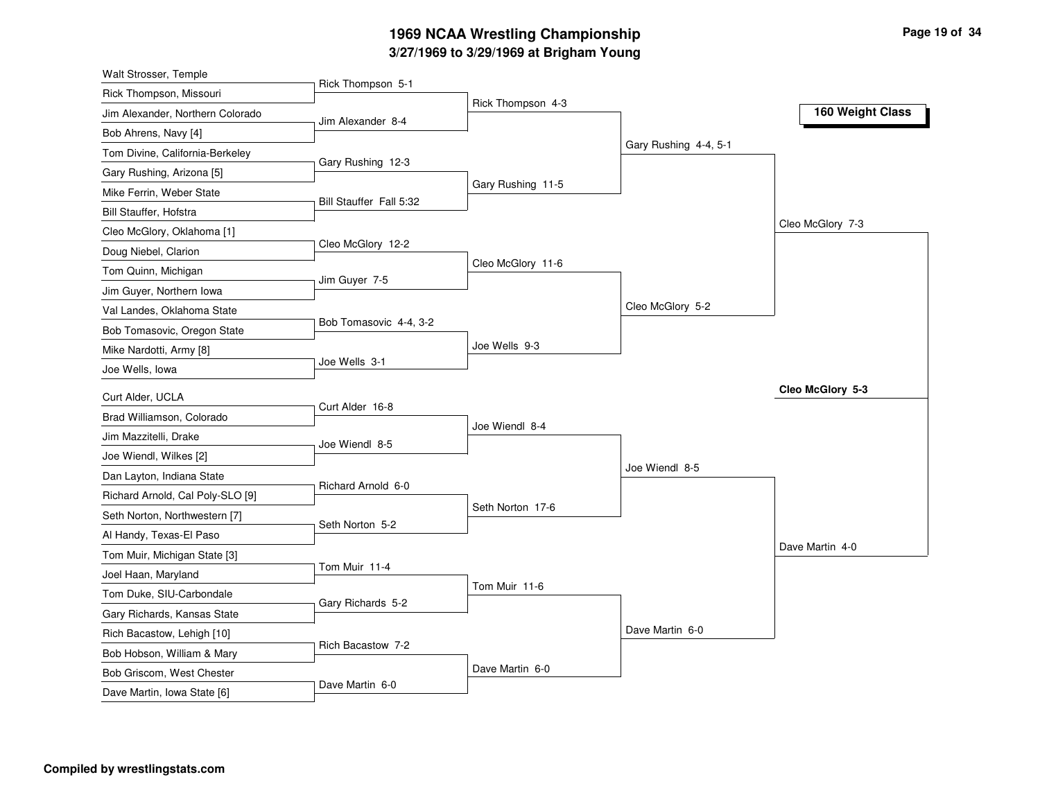# **3/27/1969 to 3/29/1969 at Brigham Young 1969 NCAA Wrestling Championship Page <sup>19</sup> of <sup>34</sup>**

| Walt Strosser, Temple            |                         |                   |                       |                  |
|----------------------------------|-------------------------|-------------------|-----------------------|------------------|
| Rick Thompson, Missouri          | Rick Thompson 5-1       |                   |                       |                  |
| Jim Alexander, Northern Colorado | Jim Alexander 8-4       | Rick Thompson 4-3 |                       | 160 Weight Class |
| Bob Ahrens, Navy [4]             |                         |                   |                       |                  |
| Tom Divine, California-Berkeley  |                         |                   | Gary Rushing 4-4, 5-1 |                  |
| Gary Rushing, Arizona [5]        | Gary Rushing 12-3       |                   |                       |                  |
| Mike Ferrin, Weber State         |                         | Gary Rushing 11-5 |                       |                  |
| Bill Stauffer, Hofstra           | Bill Stauffer Fall 5:32 |                   |                       |                  |
| Cleo McGlory, Oklahoma [1]       |                         |                   |                       | Cleo McGlory 7-3 |
| Doug Niebel, Clarion             | Cleo McGlory 12-2       |                   |                       |                  |
| Tom Quinn, Michigan              |                         | Cleo McGlory 11-6 |                       |                  |
| Jim Guyer, Northern Iowa         | Jim Guyer 7-5           |                   |                       |                  |
| Val Landes, Oklahoma State       |                         |                   | Cleo McGlory 5-2      |                  |
| Bob Tomasovic, Oregon State      | Bob Tomasovic 4-4, 3-2  |                   |                       |                  |
| Mike Nardotti, Army [8]          |                         | Joe Wells 9-3     |                       |                  |
| Joe Wells, Iowa                  | Joe Wells 3-1           |                   |                       |                  |
| Curt Alder, UCLA                 |                         |                   |                       | Cleo McGlory 5-3 |
| Brad Williamson, Colorado        | Curt Alder 16-8         |                   |                       |                  |
| Jim Mazzitelli, Drake            |                         | Joe Wiendl 8-4    |                       |                  |
| Joe Wiendl, Wilkes [2]           | Joe Wiendl 8-5          |                   |                       |                  |
| Dan Layton, Indiana State        |                         |                   | Joe Wiendl 8-5        |                  |
| Richard Arnold, Cal Poly-SLO [9] | Richard Arnold 6-0      |                   |                       |                  |
| Seth Norton, Northwestern [7]    |                         | Seth Norton 17-6  |                       |                  |
| Al Handy, Texas-El Paso          | Seth Norton 5-2         |                   |                       |                  |
| Tom Muir, Michigan State [3]     |                         |                   |                       | Dave Martin 4-0  |
| Joel Haan, Maryland              | Tom Muir 11-4           |                   |                       |                  |
| Tom Duke, SIU-Carbondale         |                         | Tom Muir 11-6     |                       |                  |
| Gary Richards, Kansas State      | Gary Richards 5-2       |                   |                       |                  |
| Rich Bacastow, Lehigh [10]       |                         |                   | Dave Martin 6-0       |                  |
| Bob Hobson, William & Mary       | Rich Bacastow 7-2       |                   |                       |                  |
| Bob Griscom, West Chester        |                         | Dave Martin 6-0   |                       |                  |
| Dave Martin, Iowa State [6]      | Dave Martin 6-0         |                   |                       |                  |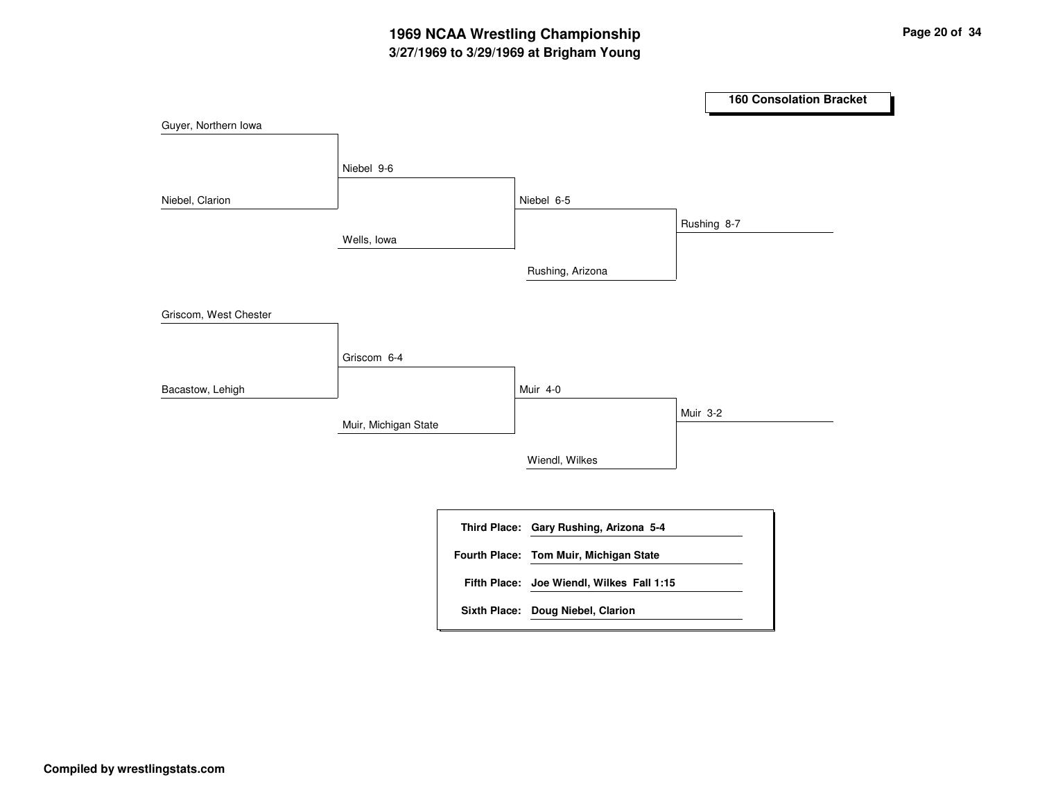# **3/27/1969 to 3/29/1969 at Brigham Young 1969 NCAA Wrestling Championship Page <sup>20</sup> of <sup>34</sup>**

|                       |                      |                                           |             | <b>160 Consolation Bracket</b> |
|-----------------------|----------------------|-------------------------------------------|-------------|--------------------------------|
| Guyer, Northern Iowa  |                      |                                           |             |                                |
|                       | Niebel 9-6           |                                           |             |                                |
| Niebel, Clarion       |                      | Niebel 6-5                                |             |                                |
|                       | Wells, Iowa          |                                           | Rushing 8-7 |                                |
|                       |                      | Rushing, Arizona                          |             |                                |
| Griscom, West Chester |                      |                                           |             |                                |
|                       | Griscom 6-4          |                                           |             |                                |
| Bacastow, Lehigh      |                      | Muir 4-0                                  |             |                                |
|                       | Muir, Michigan State |                                           | Muir 3-2    |                                |
|                       |                      | Wiendl, Wilkes                            |             |                                |
|                       |                      |                                           |             |                                |
|                       |                      | Third Place: Gary Rushing, Arizona 5-4    |             |                                |
|                       |                      | Fourth Place: Tom Muir, Michigan State    |             |                                |
|                       |                      | Fifth Place: Joe Wiendl, Wilkes Fall 1:15 |             |                                |
|                       |                      | Sixth Place: Doug Niebel, Clarion         |             |                                |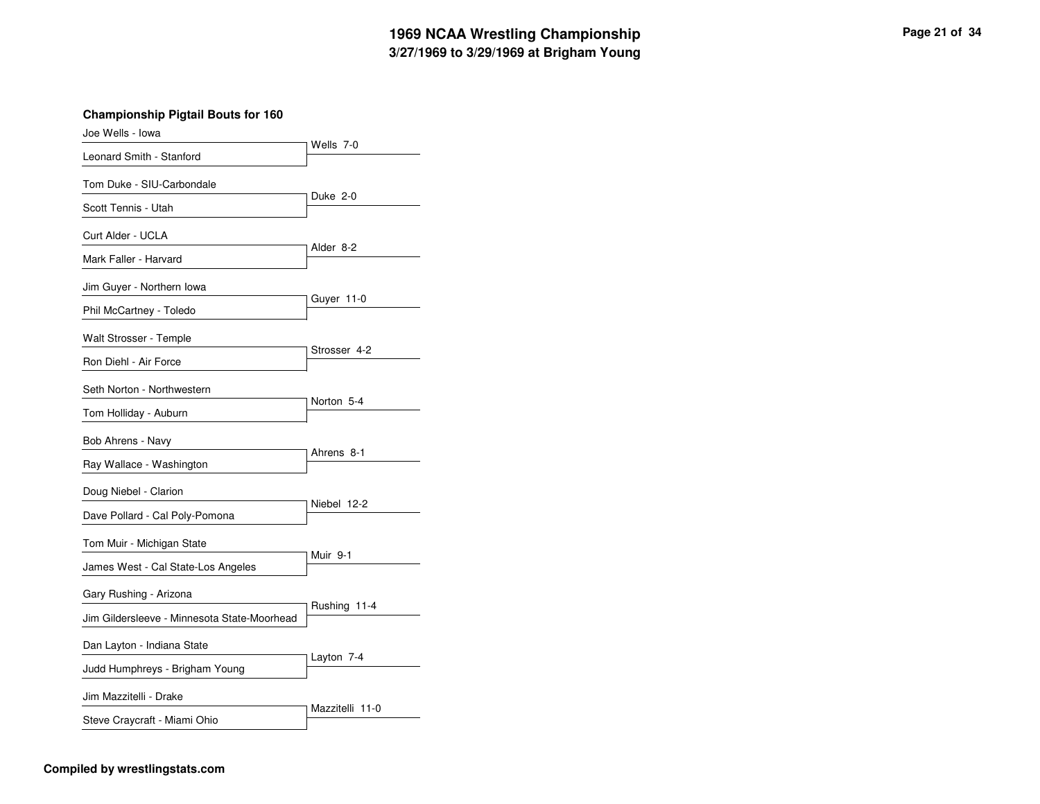#### **3/27/1969 to 3/29/1969 at Brigham Young 1969 NCAA Wrestling Championship Page <sup>21</sup> of <sup>34</sup>**

| Joe Wells - Iowa                                                       |                 |
|------------------------------------------------------------------------|-----------------|
| Leonard Smith - Stanford                                               | Wells 7-0       |
| Tom Duke - SIU-Carbondale                                              |                 |
| Scott Tennis - Utah                                                    | Duke 2-0        |
| Curt Alder - UCLA                                                      |                 |
| Mark Faller - Harvard                                                  | Alder 8-2       |
| Jim Guyer - Northern Iowa                                              |                 |
| Phil McCartney - Toledo                                                | Guyer 11-0      |
| Walt Strosser - Temple                                                 | Strosser 4-2    |
| Ron Diehl - Air Force<br>Seth Norton - Northwestern                    | Norton 5-4      |
| Tom Holliday - Auburn<br>Bob Ahrens - Navy<br>Ray Wallace - Washington | Ahrens 8-1      |
| Doug Niebel - Clarion<br>Dave Pollard - Cal Poly-Pomona                | Niebel 12-2     |
| Tom Muir - Michigan State<br>James West - Cal State-Los Angeles        | Muir 9-1        |
| Gary Rushing - Arizona<br>Jim Gildersleeve - Minnesota State-Moorhead  | Rushing 11-4    |
| Dan Layton - Indiana State<br>Judd Humphreys - Brigham Young           | Layton 7-4      |
| Jim Mazzitelli - Drake<br>Steve Craycraft - Miami Ohio                 | Mazzitelli 11-0 |

#### **Compiled by wrestlingstats.com**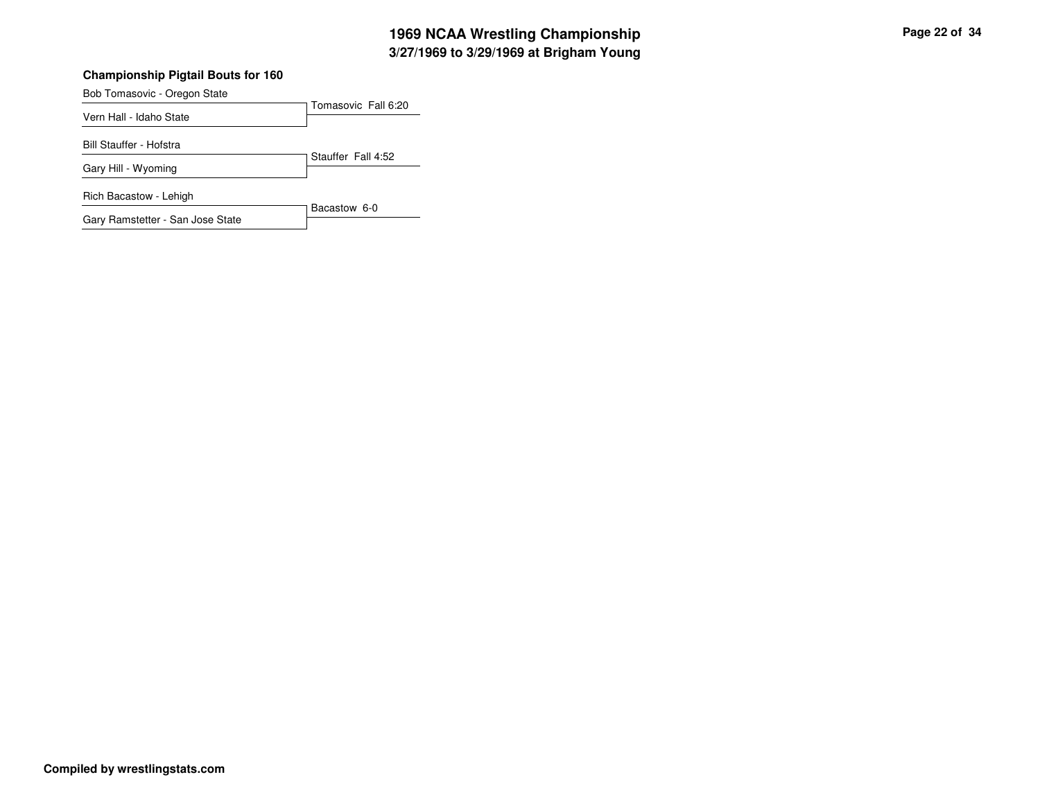# **3/27/1969 to 3/29/1969 at Brigham Young 1969 NCAA Wrestling Championship Page <sup>22</sup> of <sup>34</sup>**

#### **Championship Pigtail Bouts for 160**

Tomasovic Fall 6:20 Bob Tomasovic - Oregon State Vern Hall - Idaho State Stauffer Fall 4:52 Bill Stauffer - Hofstra Gary Hill - Wyoming Bacastow 6-0 Rich Bacastow - Lehigh Gary Ramstetter - San Jose State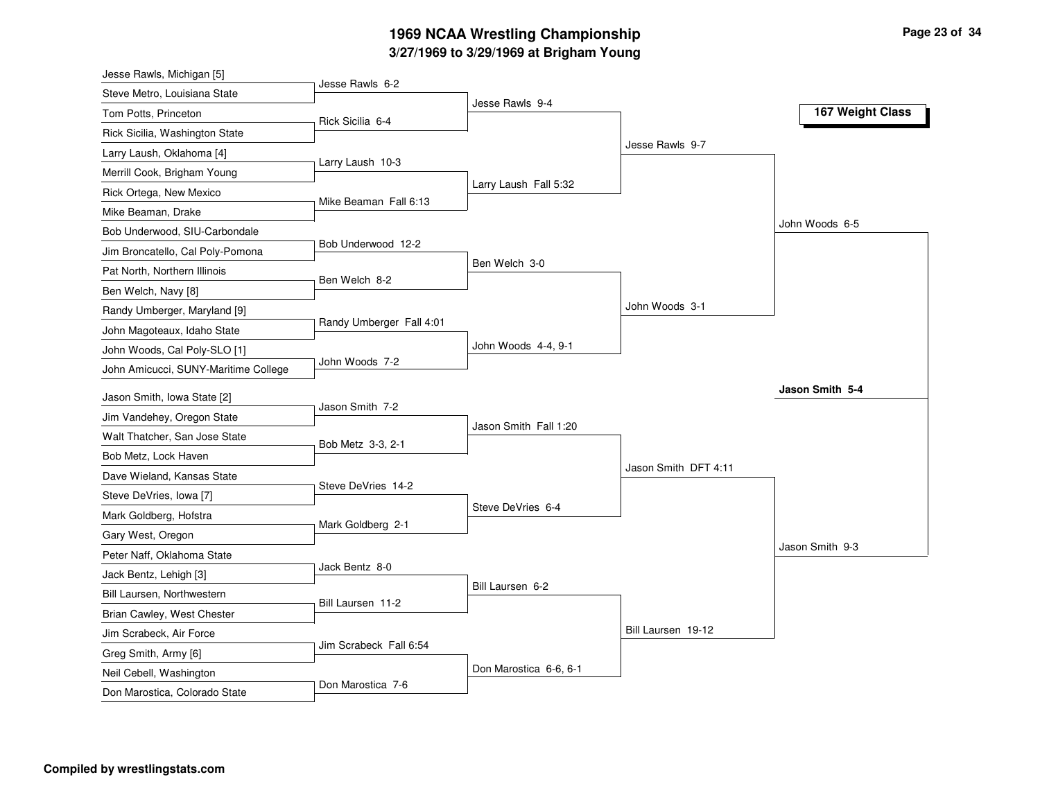# **3/27/1969 to 3/29/1969 at Brigham Young 1969 NCAA Wrestling Championship Page <sup>23</sup> of <sup>34</sup>**

| Jesse Rawls, Michigan [5]                          |                          |                        |                      |                  |
|----------------------------------------------------|--------------------------|------------------------|----------------------|------------------|
| Steve Metro, Louisiana State                       | Jesse Rawls 6-2          |                        |                      |                  |
| Tom Potts, Princeton                               | Rick Sicilia 6-4         | Jesse Rawls 9-4        |                      | 167 Weight Class |
| Rick Sicilia, Washington State                     |                          |                        |                      |                  |
| Larry Laush, Oklahoma [4]                          |                          |                        | Jesse Rawls 9-7      |                  |
| Merrill Cook, Brigham Young                        | Larry Laush 10-3         |                        |                      |                  |
| Rick Ortega, New Mexico                            |                          | Larry Laush Fall 5:32  |                      |                  |
| Mike Beaman, Drake                                 | Mike Beaman Fall 6:13    |                        |                      |                  |
| Bob Underwood, SIU-Carbondale                      |                          |                        |                      | John Woods 6-5   |
| Jim Broncatello, Cal Poly-Pomona                   | Bob Underwood 12-2       |                        |                      |                  |
| Pat North, Northern Illinois                       |                          | Ben Welch 3-0          |                      |                  |
| Ben Welch, Navy [8]                                | Ben Welch 8-2            |                        |                      |                  |
| Randy Umberger, Maryland [9]                       |                          |                        | John Woods 3-1       |                  |
| John Magoteaux, Idaho State                        | Randy Umberger Fall 4:01 |                        |                      |                  |
| John Woods, Cal Poly-SLO [1]                       |                          | John Woods 4-4, 9-1    |                      |                  |
| John Amicucci, SUNY-Maritime College               | John Woods 7-2           |                        |                      |                  |
| Jason Smith, Iowa State [2]                        |                          |                        |                      | Jason Smith 5-4  |
| Jim Vandehey, Oregon State                         | Jason Smith 7-2          |                        |                      |                  |
| Walt Thatcher, San Jose State                      |                          | Jason Smith Fall 1:20  |                      |                  |
|                                                    | Bob Metz 3-3, 2-1        |                        |                      |                  |
| Bob Metz, Lock Haven<br>Dave Wieland, Kansas State |                          |                        | Jason Smith DFT 4:11 |                  |
|                                                    | Steve DeVries 14-2       |                        |                      |                  |
| Steve DeVries, Iowa [7]                            |                          | Steve DeVries 6-4      |                      |                  |
| Mark Goldberg, Hofstra                             | Mark Goldberg 2-1        |                        |                      |                  |
| Gary West, Oregon                                  |                          |                        |                      | Jason Smith 9-3  |
| Peter Naff, Oklahoma State                         | Jack Bentz 8-0           |                        |                      |                  |
| Jack Bentz, Lehigh [3]                             |                          | Bill Laursen 6-2       |                      |                  |
| Bill Laursen, Northwestern                         | Bill Laursen 11-2        |                        |                      |                  |
| Brian Cawley, West Chester                         |                          |                        | Bill Laursen 19-12   |                  |
| Jim Scrabeck, Air Force                            | Jim Scrabeck Fall 6:54   |                        |                      |                  |
| Greg Smith, Army [6]                               |                          | Don Marostica 6-6, 6-1 |                      |                  |
| Neil Cebell, Washington                            | Don Marostica 7-6        |                        |                      |                  |
| Don Marostica, Colorado State                      |                          |                        |                      |                  |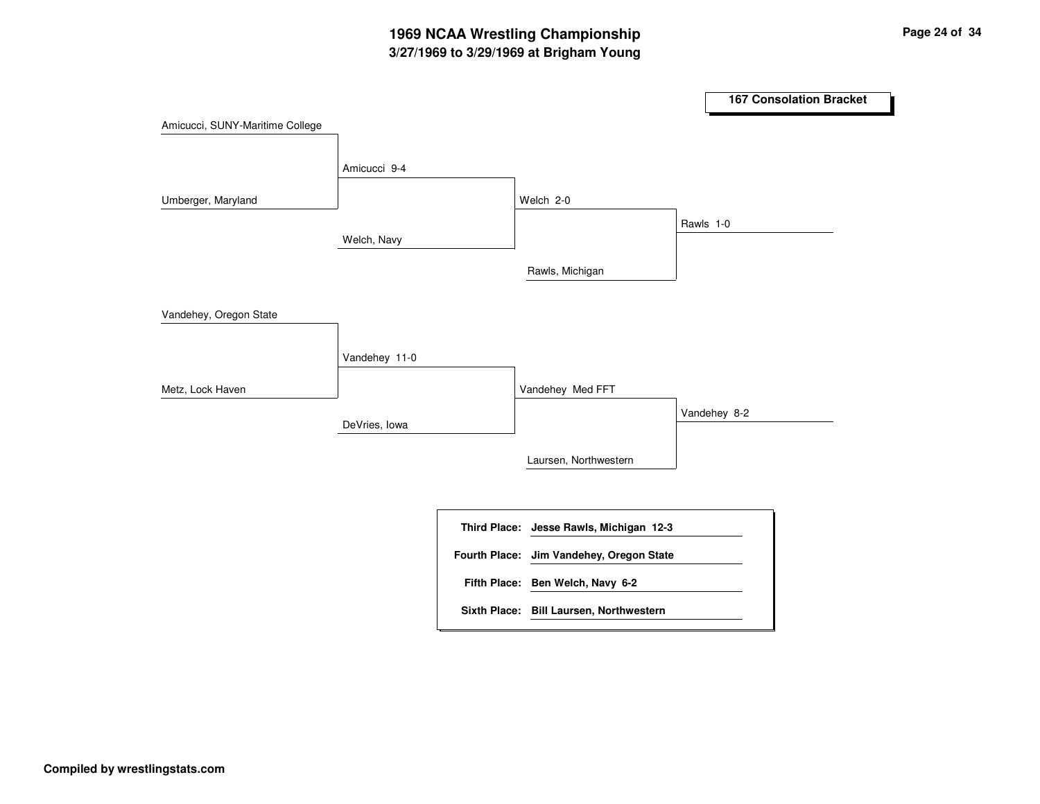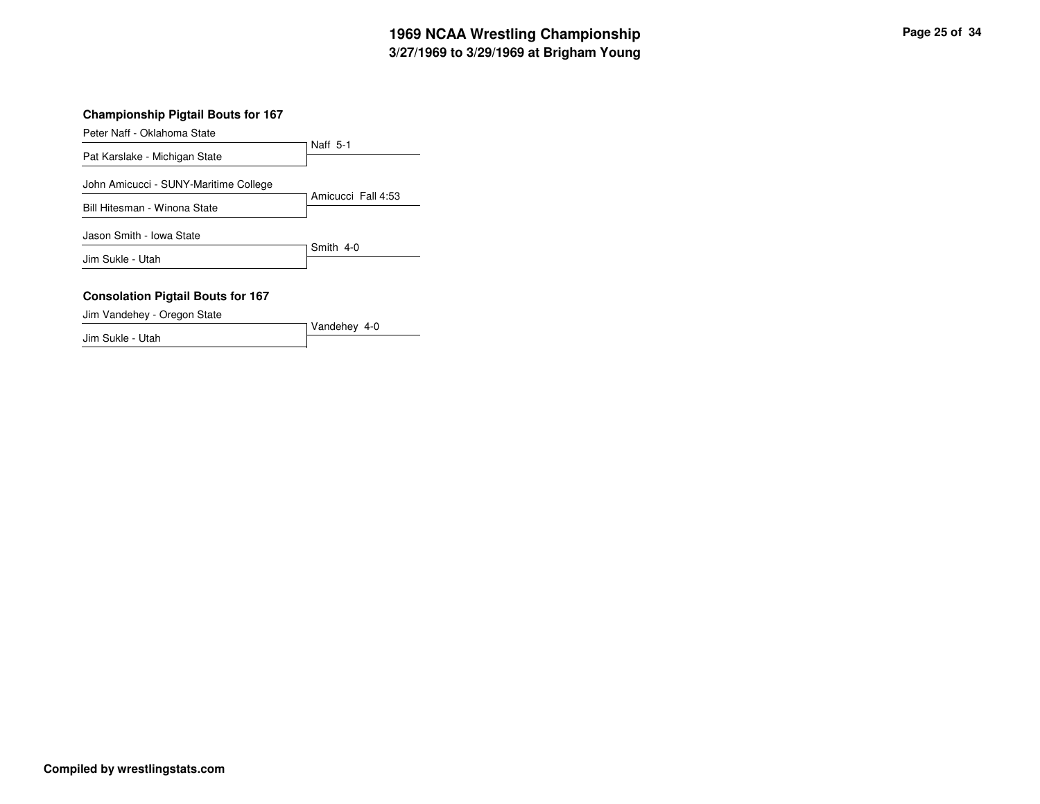# **3/27/1969 to 3/29/1969 at Brigham Young 1969 NCAA Wrestling Championship Page <sup>25</sup> of <sup>34</sup>**

#### **Championship Pigtail Bouts for 167**

Peter Naff - Oklahoma State

Naff 5-1 Pat Karslake - Michigan State

John Amicucci - SUNY-Maritime College

Amicucci Fall 4:53 Bill Hitesman - Winona State

Jason Smith - Iowa State

Smith 4-0 Jim Sukle - Utah

#### **Consolation Pigtail Bouts for 167**

Jim Vandehey - Oregon State

Vandehey 4-0 Jim Sukle - Utah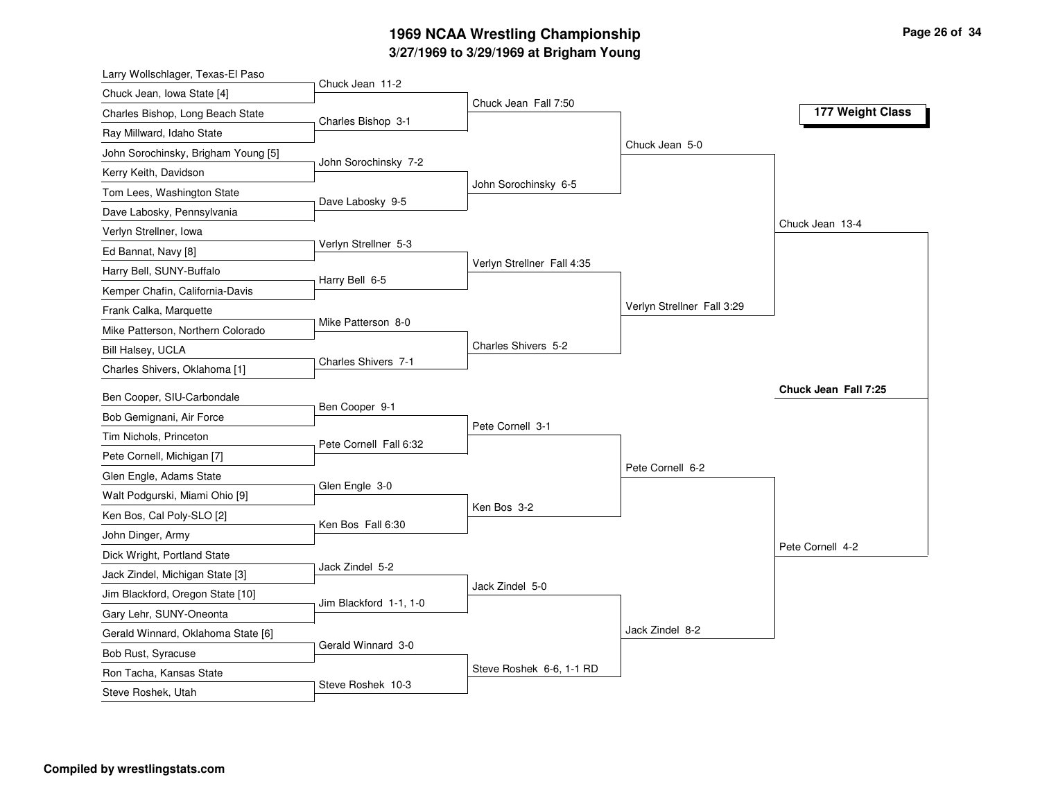# **3/27/1969 to 3/29/1969 at Brigham Young 1969 NCAA Wrestling Championship Page <sup>26</sup> of <sup>34</sup>**

| Larry Wollschlager, Texas-El Paso                                     |                      |
|-----------------------------------------------------------------------|----------------------|
| Chuck Jean 11-2<br>Chuck Jean, Iowa State [4]<br>Chuck Jean Fall 7:50 |                      |
| Charles Bishop, Long Beach State<br>Charles Bishop 3-1                | 177 Weight Class     |
| Ray Millward, Idaho State                                             |                      |
| Chuck Jean 5-0<br>John Sorochinsky, Brigham Young [5]                 |                      |
| John Sorochinsky 7-2<br>Kerry Keith, Davidson                         |                      |
| John Sorochinsky 6-5<br>Tom Lees, Washington State                    |                      |
| Dave Labosky 9-5<br>Dave Labosky, Pennsylvania                        |                      |
| Verlyn Strellner, Iowa                                                | Chuck Jean 13-4      |
| Verlyn Strellner 5-3<br>Ed Bannat, Navy [8]                           |                      |
| Verlyn Strellner Fall 4:35<br>Harry Bell, SUNY-Buffalo                |                      |
| Harry Bell 6-5<br>Kemper Chafin, California-Davis                     |                      |
| Verlyn Strellner Fall 3:29<br>Frank Calka, Marquette                  |                      |
| Mike Patterson 8-0<br>Mike Patterson, Northern Colorado               |                      |
| Charles Shivers 5-2<br>Bill Halsey, UCLA                              |                      |
| Charles Shivers 7-1<br>Charles Shivers, Oklahoma [1]                  |                      |
| Ben Cooper, SIU-Carbondale                                            | Chuck Jean Fall 7:25 |
| Ben Cooper 9-1<br>Bob Gemignani, Air Force                            |                      |
| Pete Cornell 3-1<br>Tim Nichols, Princeton                            |                      |
| Pete Cornell Fall 6:32<br>Pete Cornell, Michigan [7]                  |                      |
| Pete Cornell 6-2<br>Glen Engle, Adams State                           |                      |
| Glen Engle 3-0<br>Walt Podgurski, Miami Ohio [9]                      |                      |
| Ken Bos 3-2<br>Ken Bos, Cal Poly-SLO [2]                              |                      |
| Ken Bos Fall 6:30<br>John Dinger, Army                                |                      |
| Dick Wright, Portland State                                           | Pete Cornell 4-2     |
| Jack Zindel 5-2<br>Jack Zindel, Michigan State [3]                    |                      |
| Jack Zindel 5-0<br>Jim Blackford, Oregon State [10]                   |                      |
| Jim Blackford 1-1, 1-0<br>Gary Lehr, SUNY-Oneonta                     |                      |
| Jack Zindel 8-2<br>Gerald Winnard, Oklahoma State [6]                 |                      |
| Gerald Winnard 3-0<br>Bob Rust, Syracuse                              |                      |
| Steve Roshek 6-6, 1-1 RD<br>Ron Tacha, Kansas State                   |                      |
| Steve Roshek 10-3                                                     |                      |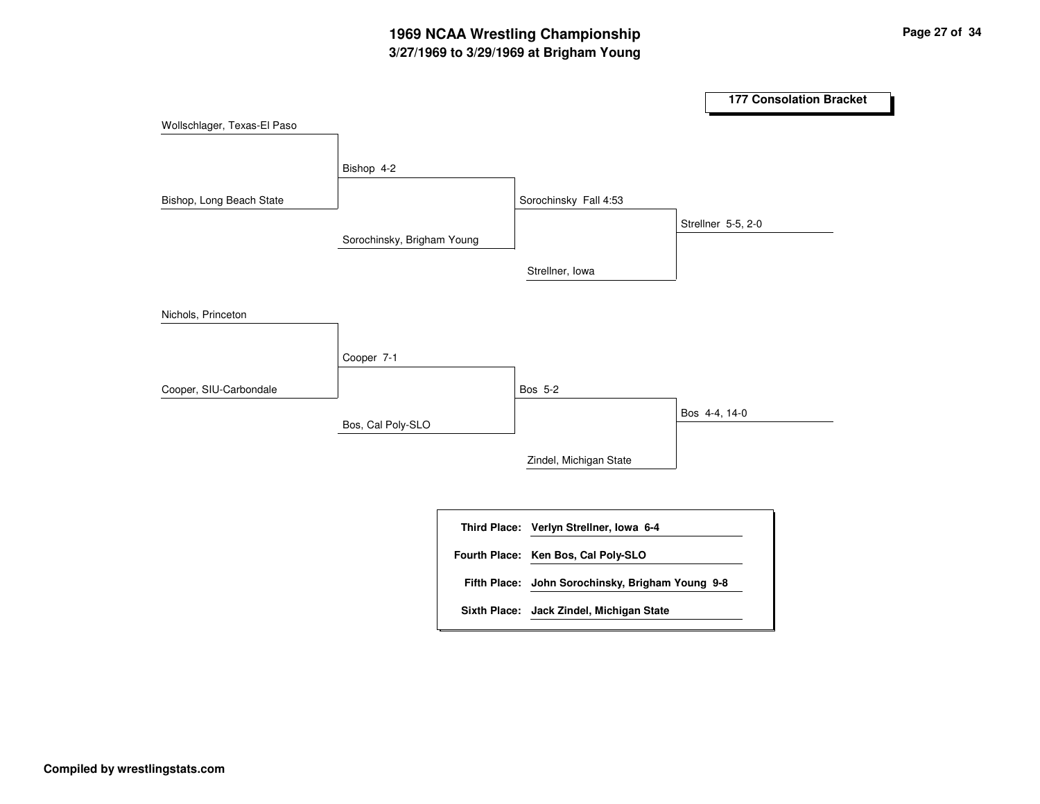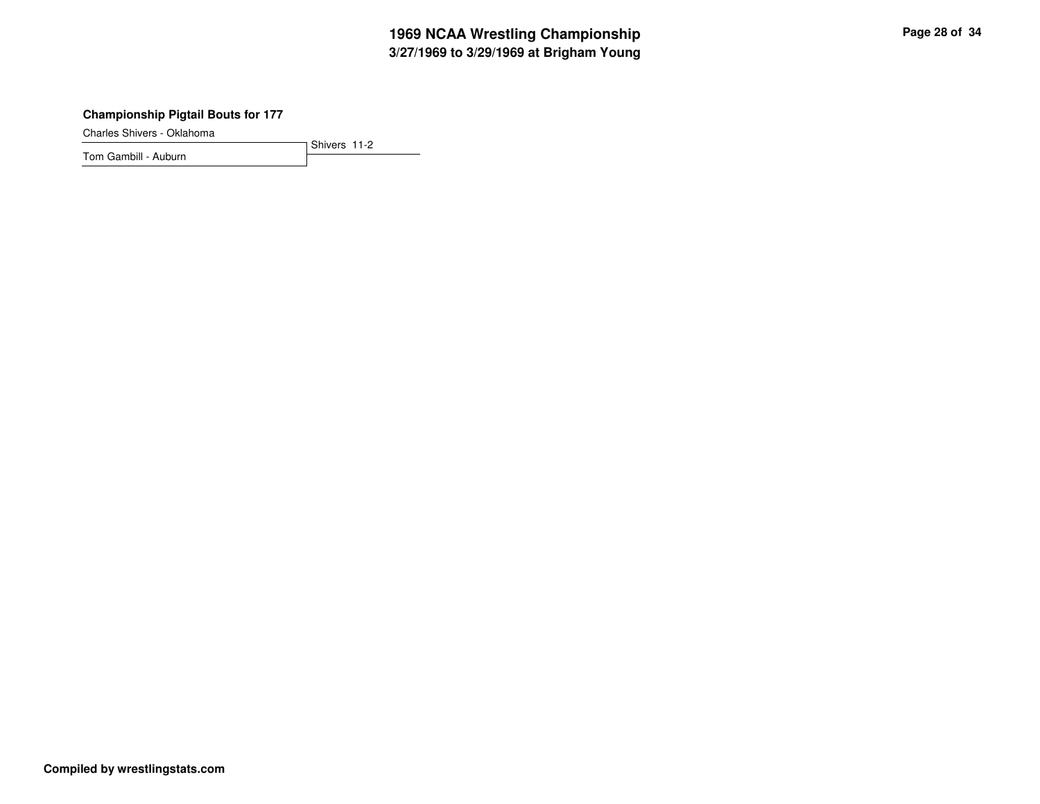# **3/27/1969 to 3/29/1969 at Brigham Young 1969 NCAA Wrestling Championship Page <sup>28</sup> of <sup>34</sup>**

#### **Championship Pigtail Bouts for 177**

Charles Shivers - Oklahoma

Shivers 11-2 Tom Gambill - Auburn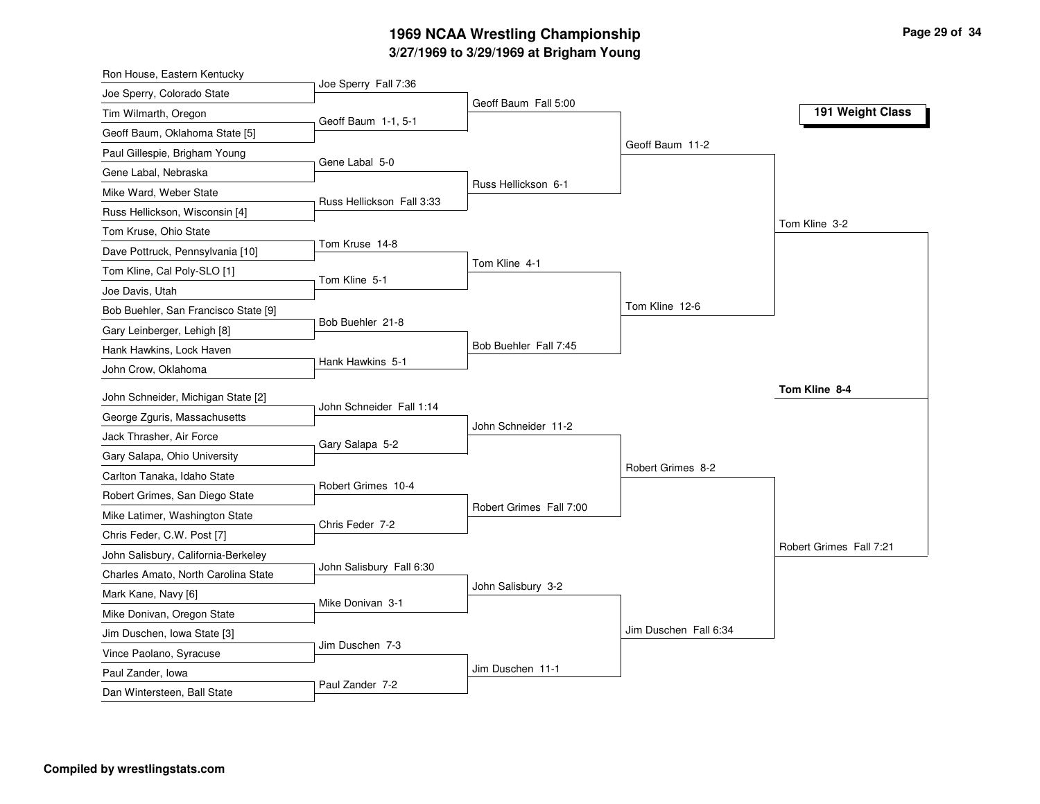# **3/27/1969 to 3/29/1969 at Brigham Young 1969 NCAA Wrestling Championship Page <sup>29</sup> of <sup>34</sup>**

| Ron House, Eastern Kentucky          |                           |                         |                       |                         |
|--------------------------------------|---------------------------|-------------------------|-----------------------|-------------------------|
| Joe Sperry, Colorado State           | Joe Sperry Fall 7:36      |                         |                       |                         |
| Tim Wilmarth, Oregon                 | Geoff Baum 1-1, 5-1       | Geoff Baum Fall 5:00    |                       | 191 Weight Class        |
| Geoff Baum, Oklahoma State [5]       |                           |                         |                       |                         |
| Paul Gillespie, Brigham Young        |                           |                         | Geoff Baum 11-2       |                         |
| Gene Labal, Nebraska                 | Gene Labal 5-0            |                         |                       |                         |
| Mike Ward, Weber State               |                           | Russ Hellickson 6-1     |                       |                         |
| Russ Hellickson, Wisconsin [4]       | Russ Hellickson Fall 3:33 |                         |                       |                         |
| Tom Kruse, Ohio State                |                           |                         |                       | Tom Kline 3-2           |
| Dave Pottruck, Pennsylvania [10]     | Tom Kruse 14-8            |                         |                       |                         |
| Tom Kline, Cal Poly-SLO [1]          |                           | Tom Kline 4-1           |                       |                         |
| Joe Davis, Utah                      | Tom Kline 5-1             |                         |                       |                         |
| Bob Buehler, San Francisco State [9] |                           |                         | Tom Kline 12-6        |                         |
| Gary Leinberger, Lehigh [8]          | Bob Buehler 21-8          |                         |                       |                         |
| Hank Hawkins, Lock Haven             |                           | Bob Buehler Fall 7:45   |                       |                         |
| John Crow, Oklahoma                  | Hank Hawkins 5-1          |                         |                       |                         |
|                                      |                           |                         |                       | Tom Kline 8-4           |
| John Schneider, Michigan State [2]   | John Schneider Fall 1:14  |                         |                       |                         |
| George Zguris, Massachusetts         |                           | John Schneider 11-2     |                       |                         |
| Jack Thrasher, Air Force             | Gary Salapa 5-2           |                         |                       |                         |
| Gary Salapa, Ohio University         |                           |                         | Robert Grimes 8-2     |                         |
| Carlton Tanaka, Idaho State          | Robert Grimes 10-4        |                         |                       |                         |
| Robert Grimes, San Diego State       |                           | Robert Grimes Fall 7:00 |                       |                         |
| Mike Latimer, Washington State       | Chris Feder 7-2           |                         |                       |                         |
| Chris Feder, C.W. Post [7]           |                           |                         |                       | Robert Grimes Fall 7:21 |
| John Salisbury, California-Berkeley  | John Salisbury Fall 6:30  |                         |                       |                         |
| Charles Amato, North Carolina State  |                           | John Salisbury 3-2      |                       |                         |
| Mark Kane, Navy [6]                  | Mike Donivan 3-1          |                         |                       |                         |
| Mike Donivan, Oregon State           |                           |                         |                       |                         |
| Jim Duschen, Iowa State [3]          | Jim Duschen 7-3           |                         | Jim Duschen Fall 6:34 |                         |
| Vince Paolano, Syracuse              |                           |                         |                       |                         |
| Paul Zander, Iowa                    | Paul Zander 7-2           | Jim Duschen 11-1        |                       |                         |
| Dan Wintersteen, Ball State          |                           |                         |                       |                         |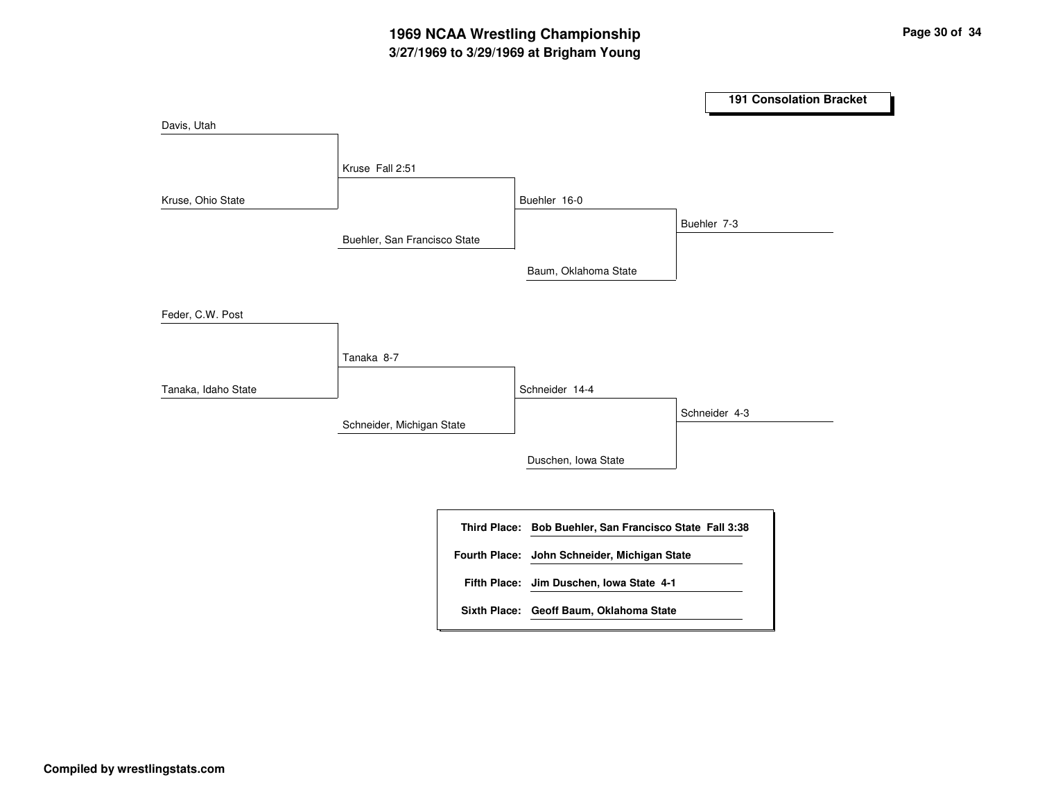|                     |                              |                      |                                            | <b>191 Consolation Bracket</b> |
|---------------------|------------------------------|----------------------|--------------------------------------------|--------------------------------|
| Davis, Utah         |                              |                      |                                            |                                |
|                     | Kruse Fall 2:51              |                      |                                            |                                |
| Kruse, Ohio State   |                              |                      | Buehler 16-0                               |                                |
|                     |                              |                      |                                            | Buehler 7-3                    |
|                     | Buehler, San Francisco State |                      |                                            |                                |
|                     |                              |                      | Baum, Oklahoma State                       |                                |
| Feder, C.W. Post    |                              |                      |                                            |                                |
|                     | Tanaka 8-7                   |                      |                                            |                                |
| Tanaka, Idaho State |                              |                      | Schneider 14-4                             |                                |
|                     | Schneider, Michigan State    |                      |                                            | Schneider 4-3                  |
|                     |                              |                      |                                            |                                |
|                     |                              |                      | Duschen, Iowa State                        |                                |
|                     |                              |                      |                                            |                                |
|                     |                              | <b>Third Place:</b>  | Bob Buehler, San Francisco State Fall 3:38 |                                |
|                     |                              | <b>Fourth Place:</b> | John Schneider, Michigan State             |                                |
|                     |                              |                      | Fifth Place: Jim Duschen, Iowa State 4-1   |                                |
|                     |                              |                      | Sixth Place: Geoff Baum, Oklahoma State    |                                |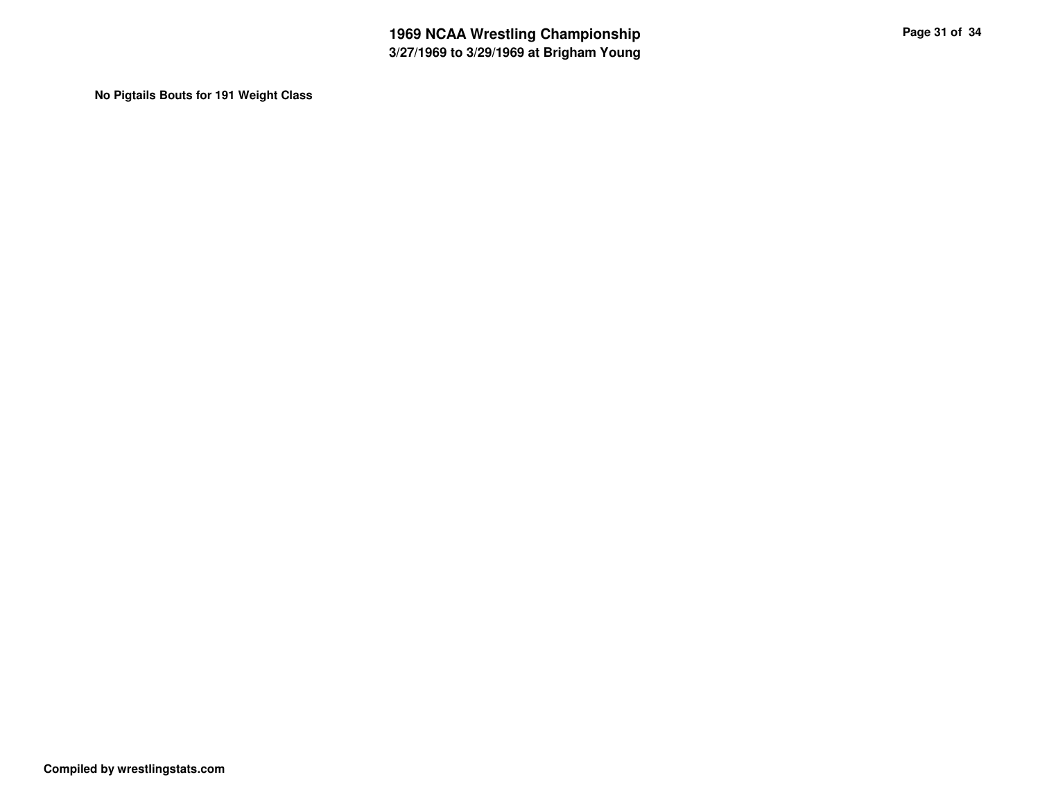**No Pigtails Bouts for 191 Weight Class**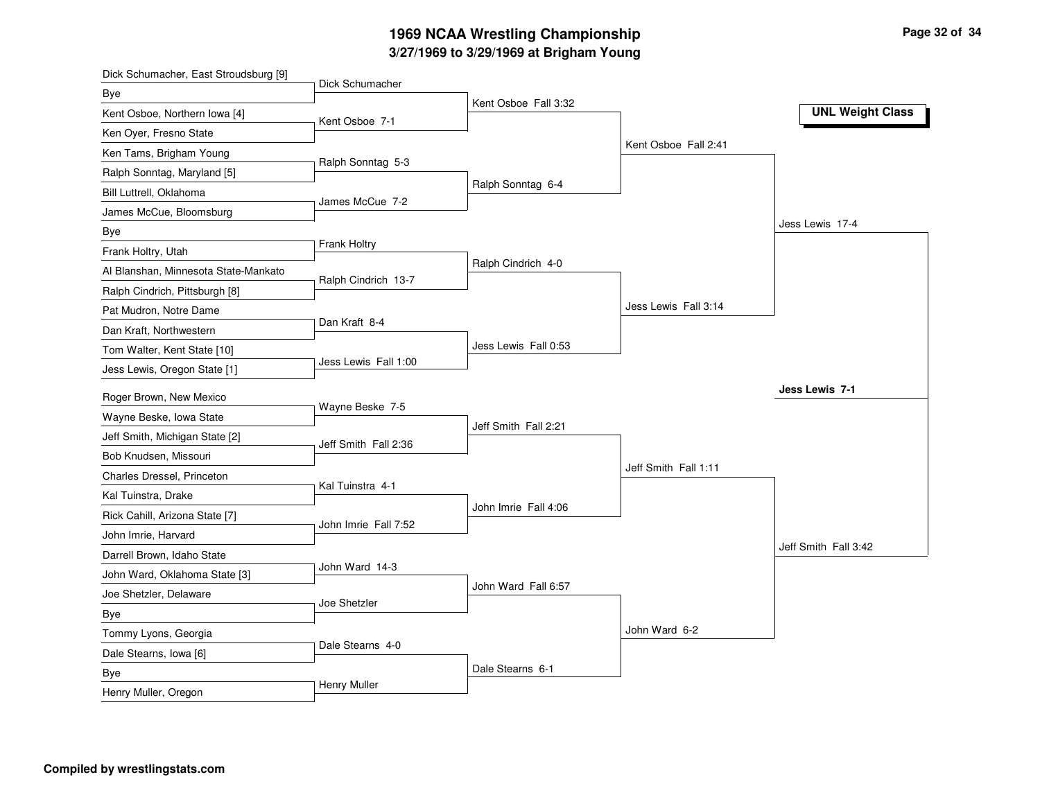# **3/27/1969 to 3/29/1969 at Brigham Young 1969 NCAA Wrestling Championship Page <sup>32</sup> of <sup>34</sup>**

| Dick Schumacher, East Stroudsburg [9] |                      |                      |                      |                         |
|---------------------------------------|----------------------|----------------------|----------------------|-------------------------|
| <b>Bye</b>                            | Dick Schumacher      |                      |                      |                         |
| Kent Osboe, Northern Iowa [4]         | Kent Osboe 7-1       | Kent Osboe Fall 3:32 |                      | <b>UNL Weight Class</b> |
| Ken Oyer, Fresno State                |                      |                      |                      |                         |
| Ken Tams, Brigham Young               |                      |                      | Kent Osboe Fall 2:41 |                         |
| Ralph Sonntag, Maryland [5]           | Ralph Sonntag 5-3    |                      |                      |                         |
| Bill Luttrell, Oklahoma               |                      | Ralph Sonntag 6-4    |                      |                         |
| James McCue, Bloomsburg               | James McCue 7-2      |                      |                      |                         |
| Bye                                   |                      |                      |                      | Jess Lewis 17-4         |
| Frank Holtry, Utah                    | Frank Holtry         |                      |                      |                         |
| Al Blanshan, Minnesota State-Mankato  |                      | Ralph Cindrich 4-0   |                      |                         |
| Ralph Cindrich, Pittsburgh [8]        | Ralph Cindrich 13-7  |                      |                      |                         |
| Pat Mudron, Notre Dame                |                      |                      | Jess Lewis Fall 3:14 |                         |
| Dan Kraft, Northwestern               | Dan Kraft 8-4        |                      |                      |                         |
| Tom Walter, Kent State [10]           |                      | Jess Lewis Fall 0:53 |                      |                         |
| Jess Lewis, Oregon State [1]          | Jess Lewis Fall 1:00 |                      |                      |                         |
|                                       |                      |                      |                      | Jess Lewis 7-1          |
| Roger Brown, New Mexico               | Wayne Beske 7-5      |                      |                      |                         |
| Wayne Beske, Iowa State               |                      | Jeff Smith Fall 2:21 |                      |                         |
| Jeff Smith, Michigan State [2]        | Jeff Smith Fall 2:36 |                      |                      |                         |
| Bob Knudsen, Missouri                 |                      |                      | Jeff Smith Fall 1:11 |                         |
| Charles Dressel, Princeton            | Kal Tuinstra 4-1     |                      |                      |                         |
| Kal Tuinstra, Drake                   |                      | John Imrie Fall 4:06 |                      |                         |
| Rick Cahill, Arizona State [7]        | John Imrie Fall 7:52 |                      |                      |                         |
| John Imrie, Harvard                   |                      |                      |                      | Jeff Smith Fall 3:42    |
| Darrell Brown, Idaho State            | John Ward 14-3       |                      |                      |                         |
| John Ward, Oklahoma State [3]         |                      | John Ward Fall 6:57  |                      |                         |
| Joe Shetzler, Delaware                | Joe Shetzler         |                      |                      |                         |
| <b>Bye</b>                            |                      |                      | John Ward 6-2        |                         |
| Tommy Lyons, Georgia                  | Dale Stearns 4-0     |                      |                      |                         |
| Dale Stearns, Iowa [6]                |                      |                      |                      |                         |
| <b>Bye</b>                            | Henry Muller         | Dale Stearns 6-1     |                      |                         |
| Henry Muller, Oregon                  |                      |                      |                      |                         |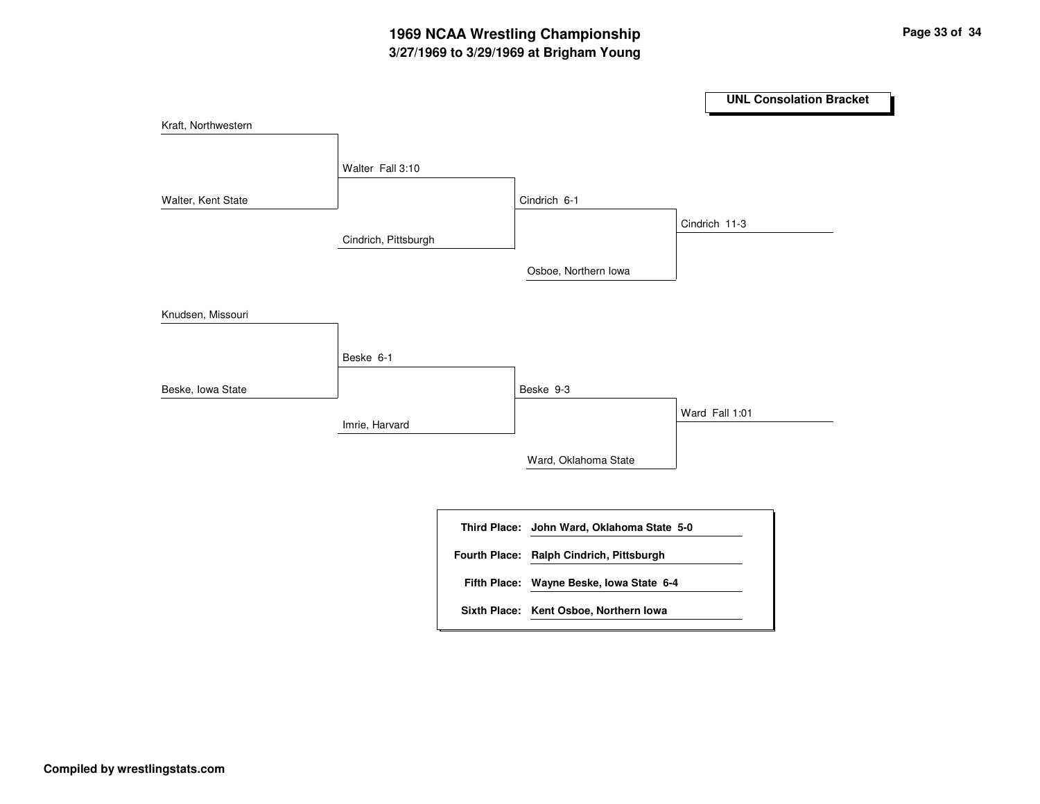